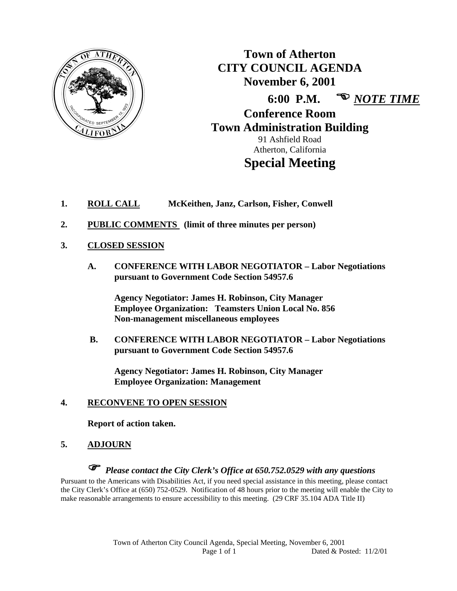

**Town of Atherton CITY COUNCIL AGENDA November 6, 2001 6:00 P.M.**  *NOTE TIME* **Conference Room Town Administration Building**  91 Ashfield Road Atherton, California

# **Special Meeting**

- **1. ROLL CALL McKeithen, Janz, Carlson, Fisher, Conwell**
- **2. PUBLIC COMMENTS (limit of three minutes per person)**
- **3. CLOSED SESSION**
	- **A. CONFERENCE WITH LABOR NEGOTIATOR Labor Negotiations pursuant to Government Code Section 54957.6**

 **Agency Negotiator: James H. Robinson, City Manager Employee Organization: Teamsters Union Local No. 856 Non-management miscellaneous employees** 

 **B. CONFERENCE WITH LABOR NEGOTIATOR – Labor Negotiations pursuant to Government Code Section 54957.6** 

**Agency Negotiator: James H. Robinson, City Manager Employee Organization: Management** 

#### **4. RECONVENE TO OPEN SESSION**

 **Report of action taken.** 

#### **5. ADJOURN**

*Please contact the City Clerk's Office at 650.752.0529 with any questions* 

Pursuant to the Americans with Disabilities Act, if you need special assistance in this meeting, please contact the City Clerk's Office at (650) 752-0529. Notification of 48 hours prior to the meeting will enable the City to make reasonable arrangements to ensure accessibility to this meeting. (29 CRF 35.104 ADA Title II)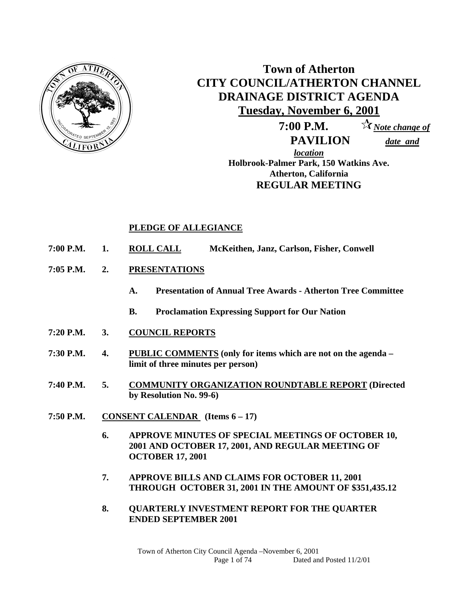

# **Town of Atherton CITY COUNCIL/ATHERTON CHANNEL DRAINAGE DISTRICT AGENDA Tuesday, November 6, 2001**

 **7:00 P.M.** *Note change of* 

 **PAVILION** *date and* 

*location* **Holbrook-Palmer Park, 150 Watkins Ave. Atherton, California REGULAR MEETING** 

#### **PLEDGE OF ALLEGIANCE**

- **7:00 P.M. 1. ROLL CALL McKeithen, Janz, Carlson, Fisher, Conwell**
- **7:05 P.M. 2. PRESENTATIONS**
	- **A. Presentation of Annual Tree Awards Atherton Tree Committee**
	- **B. Proclamation Expressing Support for Our Nation**
- **7:20 P.M. 3. COUNCIL REPORTS**
- **7:30 P.M. 4. PUBLIC COMMENTS (only for items which are not on the agenda limit of three minutes per person)**
- **7:40 P.M. 5. COMMUNITY ORGANIZATION ROUNDTABLE REPORT (Directed by Resolution No. 99-6)**
- **7:50 P.M. CONSENT CALENDAR (Items 6 17)** 
	- **6. APPROVE MINUTES OF SPECIAL MEETINGS OF OCTOBER 10, 2001 AND OCTOBER 17, 2001, AND REGULAR MEETING OF OCTOBER 17, 2001**
	- **7. APPROVE BILLS AND CLAIMS FOR OCTOBER 11, 2001 THROUGH OCTOBER 31, 2001 IN THE AMOUNT OF \$351,435.12**
	- **8. QUARTERLY INVESTMENT REPORT FOR THE QUARTER ENDED SEPTEMBER 2001**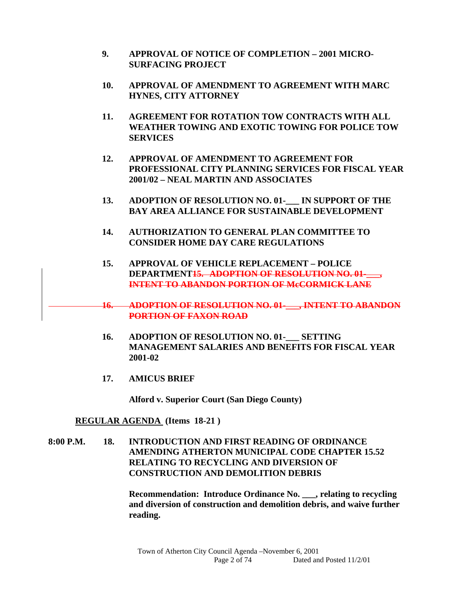- **9. APPROVAL OF NOTICE OF COMPLETION 2001 MICRO-SURFACING PROJECT**
- **10. APPROVAL OF AMENDMENT TO AGREEMENT WITH MARC HYNES, CITY ATTORNEY**
- **11. AGREEMENT FOR ROTATION TOW CONTRACTS WITH ALL WEATHER TOWING AND EXOTIC TOWING FOR POLICE TOW SERVICES**
- **12. APPROVAL OF AMENDMENT TO AGREEMENT FOR PROFESSIONAL CITY PLANNING SERVICES FOR FISCAL YEAR 2001/02 – NEAL MARTIN AND ASSOCIATES**
- **13. ADOPTION OF RESOLUTION NO. 01-\_\_\_ IN SUPPORT OF THE BAY AREA ALLIANCE FOR SUSTAINABLE DEVELOPMENT**
- **14. AUTHORIZATION TO GENERAL PLAN COMMITTEE TO CONSIDER HOME DAY CARE REGULATIONS**
- **15. APPROVAL OF VEHICLE REPLACEMENT POLICE DEPARTMENT<del>15. ADOPTION OF RESOLUTION NO. 01-</del> INTENT TO ABANDON PORTION OF McCORMICK LANE**
- **16. ADOPTION OF RESOLUTION NO. 01-\_\_\_, INTENT TO ABANDON PORTION OF FAXON ROAD**
- 16. ADOPTION OF RESOLUTION NO. 01-<br>SETTING **MANAGEMENT SALARIES AND BENEFITS FOR FISCAL YEAR 2001-02**
- **17. AMICUS BRIEF**

 **Alford v. Superior Court (San Diego County)** 

#### **REGULAR AGENDA (Items 18-21 )**

**8:00 P.M. 18. INTRODUCTION AND FIRST READING OF ORDINANCE AMENDING ATHERTON MUNICIPAL CODE CHAPTER 15.52 RELATING TO RECYCLING AND DIVERSION OF CONSTRUCTION AND DEMOLITION DEBRIS** 

> **Recommendation: Introduce Ordinance No. \_\_\_, relating to recycling and diversion of construction and demolition debris, and waive further reading.**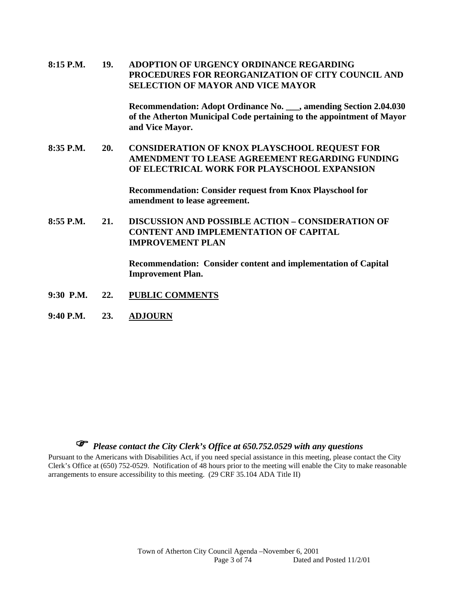**8:15 P.M. 19. ADOPTION OF URGENCY ORDINANCE REGARDING PROCEDURES FOR REORGANIZATION OF CITY COUNCIL AND SELECTION OF MAYOR AND VICE MAYOR** 

> **Recommendation: Adopt Ordinance No. \_\_\_, amending Section 2.04.030 of the Atherton Municipal Code pertaining to the appointment of Mayor and Vice Mayor.**

**8:35 P.M. 20. CONSIDERATION OF KNOX PLAYSCHOOL REQUEST FOR AMENDMENT TO LEASE AGREEMENT REGARDING FUNDING OF ELECTRICAL WORK FOR PLAYSCHOOL EXPANSION** 

> **Recommendation: Consider request from Knox Playschool for amendment to lease agreement.**

**8:55 P.M. 21. DISCUSSION AND POSSIBLE ACTION – CONSIDERATION OF CONTENT AND IMPLEMENTATION OF CAPITAL IMPROVEMENT PLAN** 

> **Recommendation: Consider content and implementation of Capital Improvement Plan.**

- **9:30 P.M. 22. PUBLIC COMMENTS**
- **9:40 P.M. 23. ADJOURN**

# *Please contact the City Clerk's Office at 650.752.0529 with any questions*

Pursuant to the Americans with Disabilities Act, if you need special assistance in this meeting, please contact the City Clerk's Office at (650) 752-0529. Notification of 48 hours prior to the meeting will enable the City to make reasonable arrangements to ensure accessibility to this meeting. (29 CRF 35.104 ADA Title II)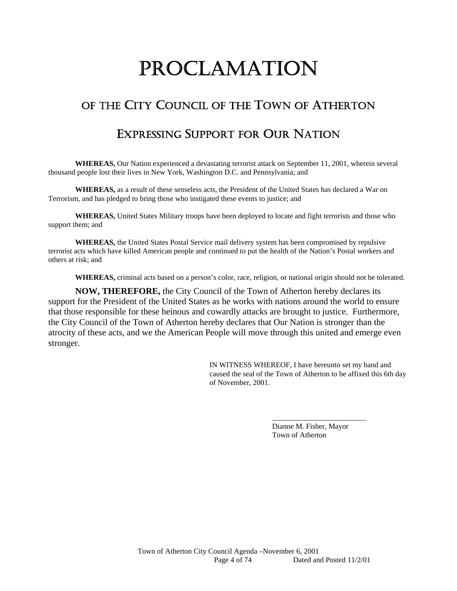# PROCLAMATION

# OF THE CITY COUNCIL OF THE TOWN OF ATHERTON

# EXPRESSING SUPPORT FOR OUR NATION

**WHEREAS,** Our Nation experienced a devastating terrorist attack on September 11, 2001, wherein several thousand people lost their lives in New York, Washington D.C. and Pennsylvania; and

**WHEREAS,** as a result of these senseless acts, the President of the United States has declared a War on Terrorism, and has pledged to bring those who instigated these events to justice; and

**WHEREAS,** United States Military troops have been deployed to locate and fight terrorists and those who support them; and

**WHEREAS,** the United States Postal Service mail delivery system has been compromised by repulsive terrorist acts which have killed American people and continued to put the health of the Nation's Postal workers and others at risk; and

**WHEREAS,** criminal acts based on a person's color, race, religion, or national origin should not be tolerated.

**NOW, THEREFORE,** the City Council of the Town of Atherton hereby declares its support for the President of the United States as he works with nations around the world to ensure that those responsible for these heinous and cowardly attacks are brought to justice. Furthermore, the City Council of the Town of Atherton hereby declares that Our Nation is stronger than the atrocity of these acts, and we the American People will move through this united and emerge even stronger.

> IN WITNESS WHEREOF, I have hereunto set my hand and caused the seal of the Town of Atherton to be affixed this 6th day of November, 2001.

> > Dianne M. Fisher, Mayor Town of Atherton

\_\_\_\_\_\_\_\_\_\_\_\_\_\_\_\_\_\_\_\_\_\_\_\_\_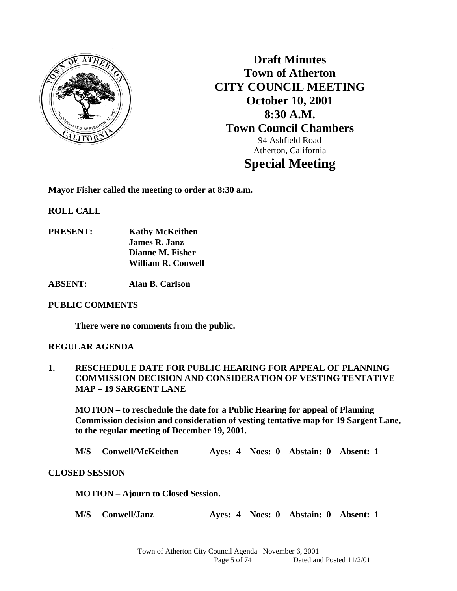

**Draft Minutes Town of Atherton CITY COUNCIL MEETING October 10, 2001 8:30 A.M. Town Council Chambers**  94 Ashfield Road Atherton, California **Special Meeting** 

**Mayor Fisher called the meeting to order at 8:30 a.m.** 

**ROLL CALL** 

- **PRESENT: Kathy McKeithen James R. Janz Dianne M. Fisher William R. Conwell**
- **ABSENT: Alan B. Carlson**

#### **PUBLIC COMMENTS**

 **There were no comments from the public.** 

#### **REGULAR AGENDA**

**1. RESCHEDULE DATE FOR PUBLIC HEARING FOR APPEAL OF PLANNING COMMISSION DECISION AND CONSIDERATION OF VESTING TENTATIVE MAP – 19 SARGENT LANE** 

 **MOTION – to reschedule the date for a Public Hearing for appeal of Planning Commission decision and consideration of vesting tentative map for 19 Sargent Lane, to the regular meeting of December 19, 2001.** 

**M/S Conwell/McKeithen Ayes: 4 Noes: 0 Abstain: 0 Absent: 1** 

#### **CLOSED SESSION**

 **MOTION – Ajourn to Closed Session.** 

 **M/S Conwell/Janz Ayes: 4 Noes: 0 Abstain: 0 Absent: 1**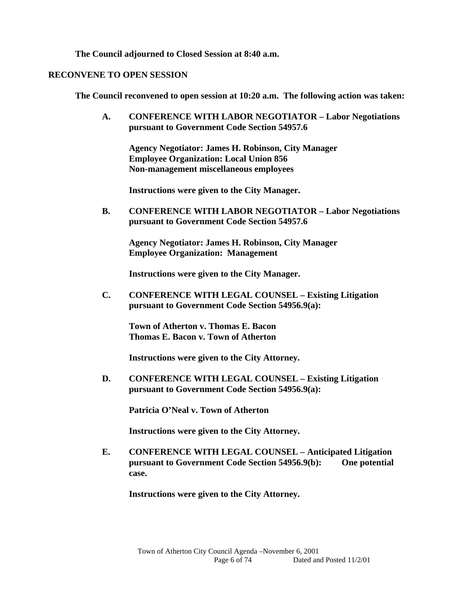**The Council adjourned to Closed Session at 8:40 a.m.** 

#### **RECONVENE TO OPEN SESSION**

**The Council reconvened to open session at 10:20 a.m. The following action was taken:** 

**A. CONFERENCE WITH LABOR NEGOTIATOR – Labor Negotiations pursuant to Government Code Section 54957.6** 

 **Agency Negotiator: James H. Robinson, City Manager Employee Organization: Local Union 856 Non-management miscellaneous employees** 

 **Instructions were given to the City Manager.** 

**B. CONFERENCE WITH LABOR NEGOTIATOR – Labor Negotiations pursuant to Government Code Section 54957.6** 

 **Agency Negotiator: James H. Robinson, City Manager Employee Organization: Management** 

 **Instructions were given to the City Manager.** 

**C. CONFERENCE WITH LEGAL COUNSEL – Existing Litigation pursuant to Government Code Section 54956.9(a):** 

**Town of Atherton v. Thomas E. Bacon Thomas E. Bacon v. Town of Atherton** 

 **Instructions were given to the City Attorney.** 

**D. CONFERENCE WITH LEGAL COUNSEL – Existing Litigation pursuant to Government Code Section 54956.9(a):** 

**Patricia O'Neal v. Town of Atherton** 

 **Instructions were given to the City Attorney.** 

**E. CONFERENCE WITH LEGAL COUNSEL – Anticipated Litigation pursuant to Government Code Section 54956.9(b): One potential case.** 

 **Instructions were given to the City Attorney.**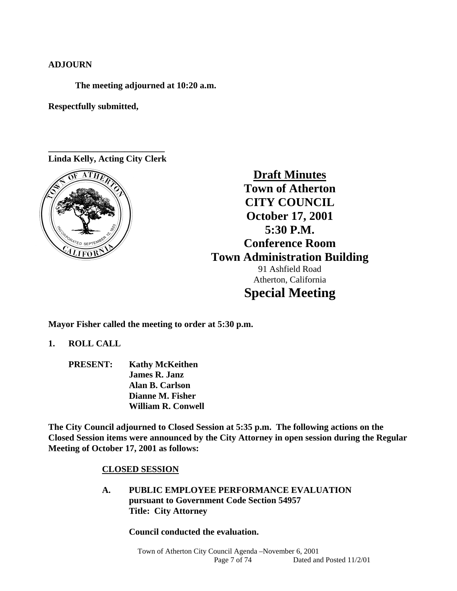#### **ADJOURN**

 **The meeting adjourned at 10:20 a.m.** 

**Respectfully submitted,** 

**\_\_\_\_\_\_\_\_\_\_\_\_\_\_\_\_\_\_\_\_\_\_\_\_\_\_ Linda Kelly, Acting City Clerk**



**Draft Minutes Town of Atherton CITY COUNCIL October 17, 2001 5:30 P.M. Conference Room Town Administration Building**  91 Ashfield Road Atherton, California **Special Meeting** 

**Mayor Fisher called the meeting to order at 5:30 p.m.** 

**1. ROLL CALL** 

 **PRESENT: Kathy McKeithen James R. Janz Alan B. Carlson Dianne M. Fisher William R. Conwell** 

**The City Council adjourned to Closed Session at 5:35 p.m. The following actions on the Closed Session items were announced by the City Attorney in open session during the Regular Meeting of October 17, 2001 as follows:** 

#### **CLOSED SESSION**

 **A. PUBLIC EMPLOYEE PERFORMANCE EVALUATION pursuant to Government Code Section 54957 Title: City Attorney** 

 **Council conducted the evaluation.**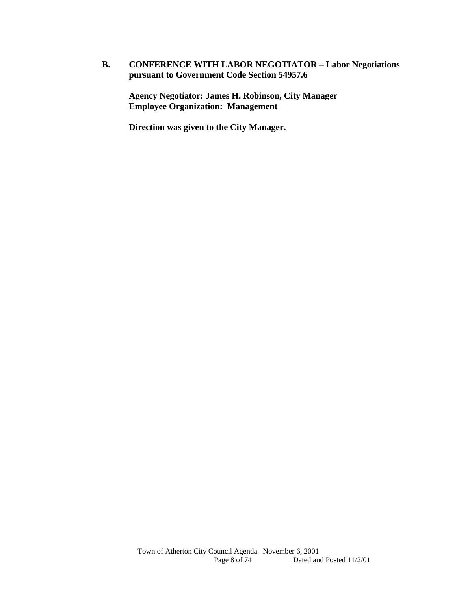#### **B. CONFERENCE WITH LABOR NEGOTIATOR – Labor Negotiations pursuant to Government Code Section 54957.6**

 **Agency Negotiator: James H. Robinson, City Manager Employee Organization: Management** 

 **Direction was given to the City Manager.**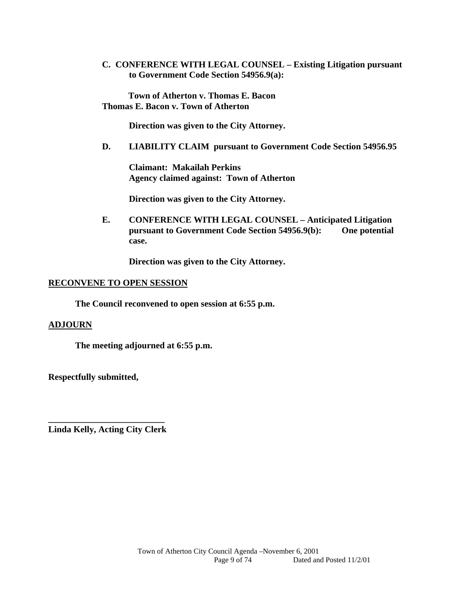**C. CONFERENCE WITH LEGAL COUNSEL – Existing Litigation pursuant to Government Code Section 54956.9(a):** 

**Town of Atherton v. Thomas E. Bacon Thomas E. Bacon v. Town of Atherton** 

**Direction was given to the City Attorney.** 

**D. LIABILITY CLAIM pursuant to Government Code Section 54956.95** 

 **Claimant: Makailah Perkins Agency claimed against: Town of Atherton** 

 **Direction was given to the City Attorney.** 

**E. CONFERENCE WITH LEGAL COUNSEL – Anticipated Litigation pursuant to Government Code Section 54956.9(b): One potential case.** 

**Direction was given to the City Attorney.** 

#### **RECONVENE TO OPEN SESSION**

 **The Council reconvened to open session at 6:55 p.m.** 

#### **ADJOURN**

**The meeting adjourned at 6:55 p.m.** 

**Respectfully submitted,** 

**\_\_\_\_\_\_\_\_\_\_\_\_\_\_\_\_\_\_\_\_\_\_\_\_\_\_ Linda Kelly, Acting City Clerk**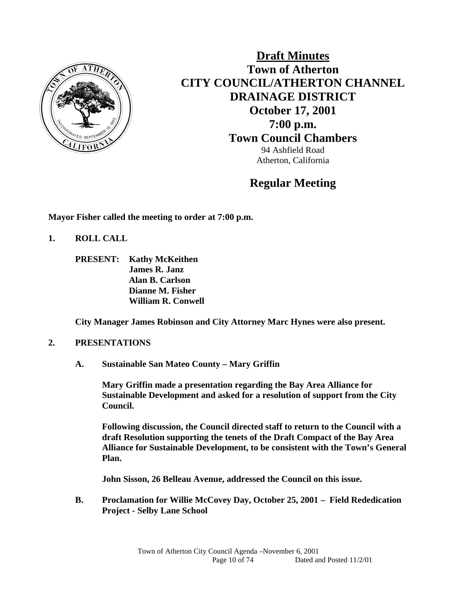

**Draft Minutes Town of Atherton CITY COUNCIL/ATHERTON CHANNEL DRAINAGE DISTRICT October 17, 2001 7:00 p.m. Town Council Chambers** 94 Ashfield Road Atherton, California

### **Regular Meeting**

**Mayor Fisher called the meeting to order at 7:00 p.m.** 

- **1. ROLL CALL** 
	- **PRESENT: Kathy McKeithen James R. Janz Alan B. Carlson Dianne M. Fisher William R. Conwell**

 **City Manager James Robinson and City Attorney Marc Hynes were also present.** 

#### **2. PRESENTATIONS**

 **A. Sustainable San Mateo County – Mary Griffin** 

**Mary Griffin made a presentation regarding the Bay Area Alliance for Sustainable Development and asked for a resolution of support from the City Council.** 

**Following discussion, the Council directed staff to return to the Council with a draft Resolution supporting the tenets of the Draft Compact of the Bay Area Alliance for Sustainable Development, to be consistent with the Town's General Plan.** 

**John Sisson, 26 Belleau Avenue, addressed the Council on this issue.** 

**B. Proclamation for Willie McCovey Day, October 25, 2001 – Field Rededication Project - Selby Lane School**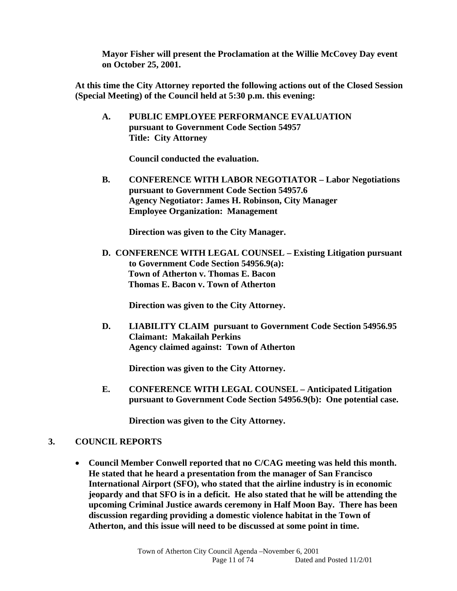**Mayor Fisher will present the Proclamation at the Willie McCovey Day event on October 25, 2001.** 

**At this time the City Attorney reported the following actions out of the Closed Session (Special Meeting) of the Council held at 5:30 p.m. this evening:** 

**A. PUBLIC EMPLOYEE PERFORMANCE EVALUATION pursuant to Government Code Section 54957 Title: City Attorney** 

 **Council conducted the evaluation.** 

**B. CONFERENCE WITH LABOR NEGOTIATOR – Labor Negotiations pursuant to Government Code Section 54957.6 Agency Negotiator: James H. Robinson, City Manager Employee Organization: Management** 

 **Direction was given to the City Manager.** 

**D. CONFERENCE WITH LEGAL COUNSEL – Existing Litigation pursuant to Government Code Section 54956.9(a): Town of Atherton v. Thomas E. Bacon Thomas E. Bacon v. Town of Atherton** 

 **Direction was given to the City Attorney.**

**D. LIABILITY CLAIM pursuant to Government Code Section 54956.95 Claimant: Makailah Perkins Agency claimed against: Town of Atherton** 

 **Direction was given to the City Attorney.** 

**E. CONFERENCE WITH LEGAL COUNSEL – Anticipated Litigation pursuant to Government Code Section 54956.9(b): One potential case.** 

 **Direction was given to the City Attorney.**

#### **3. COUNCIL REPORTS**

 **Council Member Conwell reported that no C/CAG meeting was held this month. He stated that he heard a presentation from the manager of San Francisco International Airport (SFO), who stated that the airline industry is in economic jeopardy and that SFO is in a deficit. He also stated that he will be attending the upcoming Criminal Justice awards ceremony in Half Moon Bay. There has been discussion regarding providing a domestic violence habitat in the Town of Atherton, and this issue will need to be discussed at some point in time.**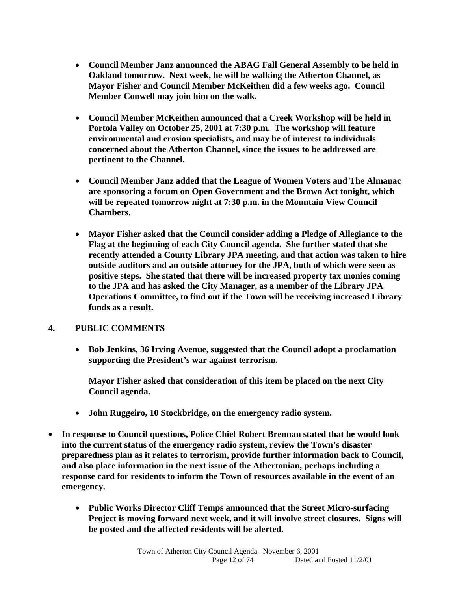- **Council Member Janz announced the ABAG Fall General Assembly to be held in Oakland tomorrow. Next week, he will be walking the Atherton Channel, as Mayor Fisher and Council Member McKeithen did a few weeks ago. Council Member Conwell may join him on the walk.**
- **Council Member McKeithen announced that a Creek Workshop will be held in Portola Valley on October 25, 2001 at 7:30 p.m. The workshop will feature environmental and erosion specialists, and may be of interest to individuals concerned about the Atherton Channel, since the issues to be addressed are pertinent to the Channel.**
- **Council Member Janz added that the League of Women Voters and The Almanac are sponsoring a forum on Open Government and the Brown Act tonight, which will be repeated tomorrow night at 7:30 p.m. in the Mountain View Council Chambers.**
- **Mayor Fisher asked that the Council consider adding a Pledge of Allegiance to the Flag at the beginning of each City Council agenda. She further stated that she recently attended a County Library JPA meeting, and that action was taken to hire outside auditors and an outside attorney for the JPA, both of which were seen as positive steps. She stated that there will be increased property tax monies coming to the JPA and has asked the City Manager, as a member of the Library JPA Operations Committee, to find out if the Town will be receiving increased Library funds as a result.**

#### **4. PUBLIC COMMENTS**

 **Bob Jenkins, 36 Irving Avenue, suggested that the Council adopt a proclamation supporting the President's war against terrorism.** 

**Mayor Fisher asked that consideration of this item be placed on the next City Council agenda.** 

- **John Ruggeiro, 10 Stockbridge, on the emergency radio system.**
- **In response to Council questions, Police Chief Robert Brennan stated that he would look into the current status of the emergency radio system, review the Town's disaster preparedness plan as it relates to terrorism, provide further information back to Council, and also place information in the next issue of the Athertonian, perhaps including a response card for residents to inform the Town of resources available in the event of an emergency.** 
	- **Public Works Director Cliff Temps announced that the Street Micro-surfacing Project is moving forward next week, and it will involve street closures. Signs will be posted and the affected residents will be alerted.**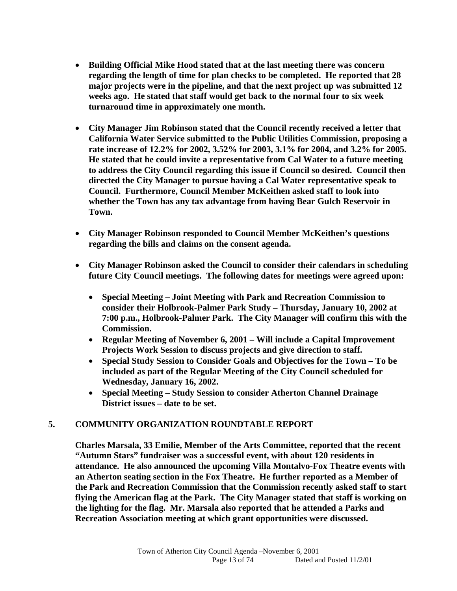- **Building Official Mike Hood stated that at the last meeting there was concern regarding the length of time for plan checks to be completed. He reported that 28 major projects were in the pipeline, and that the next project up was submitted 12 weeks ago. He stated that staff would get back to the normal four to six week turnaround time in approximately one month.**
- **City Manager Jim Robinson stated that the Council recently received a letter that California Water Service submitted to the Public Utilities Commission, proposing a rate increase of 12.2% for 2002, 3.52% for 2003, 3.1% for 2004, and 3.2% for 2005. He stated that he could invite a representative from Cal Water to a future meeting to address the City Council regarding this issue if Council so desired. Council then directed the City Manager to pursue having a Cal Water representative speak to Council. Furthermore, Council Member McKeithen asked staff to look into whether the Town has any tax advantage from having Bear Gulch Reservoir in Town.**
- **City Manager Robinson responded to Council Member McKeithen's questions regarding the bills and claims on the consent agenda.**
- **City Manager Robinson asked the Council to consider their calendars in scheduling future City Council meetings. The following dates for meetings were agreed upon:** 
	- **Special Meeting Joint Meeting with Park and Recreation Commission to consider their Holbrook-Palmer Park Study – Thursday, January 10, 2002 at 7:00 p.m., Holbrook-Palmer Park. The City Manager will confirm this with the Commission.**
	- **Regular Meeting of November 6, 2001 Will include a Capital Improvement Projects Work Session to discuss projects and give direction to staff.**
	- **Special Study Session to Consider Goals and Objectives for the Town To be included as part of the Regular Meeting of the City Council scheduled for Wednesday, January 16, 2002.**
	- **Special Meeting Study Session to consider Atherton Channel Drainage District issues – date to be set.**

#### **5. COMMUNITY ORGANIZATION ROUNDTABLE REPORT**

**Charles Marsala, 33 Emilie, Member of the Arts Committee, reported that the recent "Autumn Stars" fundraiser was a successful event, with about 120 residents in attendance. He also announced the upcoming Villa Montalvo-Fox Theatre events with an Atherton seating section in the Fox Theatre. He further reported as a Member of the Park and Recreation Commission that the Commission recently asked staff to start flying the American flag at the Park. The City Manager stated that staff is working on the lighting for the flag. Mr. Marsala also reported that he attended a Parks and Recreation Association meeting at which grant opportunities were discussed.**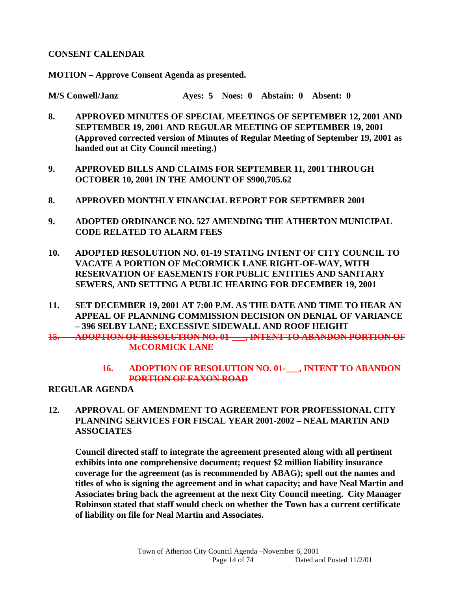#### **CONSENT CALENDAR**

**MOTION – Approve Consent Agenda as presented.** 

**M/S Conwell/Janz Ayes: 5 Noes: 0 Abstain: 0 Absent: 0** 

- **8. APPROVED MINUTES OF SPECIAL MEETINGS OF SEPTEMBER 12, 2001 AND SEPTEMBER 19, 2001 AND REGULAR MEETING OF SEPTEMBER 19, 2001 (Approved corrected version of Minutes of Regular Meeting of September 19, 2001 as handed out at City Council meeting.)**
- **9. APPROVED BILLS AND CLAIMS FOR SEPTEMBER 11, 2001 THROUGH OCTOBER 10, 2001 IN THE AMOUNT OF \$900,705.62**
- **8. APPROVED MONTHLY FINANCIAL REPORT FOR SEPTEMBER 2001**
- **9. ADOPTED ORDINANCE NO. 527 AMENDING THE ATHERTON MUNICIPAL CODE RELATED TO ALARM FEES**
- **10. ADOPTED RESOLUTION NO. 01-19 STATING INTENT OF CITY COUNCIL TO VACATE A PORTION OF McCORMICK LANE RIGHT-OF-WAY, WITH RESERVATION OF EASEMENTS FOR PUBLIC ENTITIES AND SANITARY SEWERS, AND SETTING A PUBLIC HEARING FOR DECEMBER 19, 2001**
- **11. SET DECEMBER 19, 2001 AT 7:00 P.M. AS THE DATE AND TIME TO HEAR AN APPEAL OF PLANNING COMMISSION DECISION ON DENIAL OF VARIANCE – 396 SELBY LANE; EXCESSIVE SIDEWALL AND ROOF HEIGHT**

**15. ADOPTION OF RESOLUTION NO. 01-\_\_\_, INTENT TO ABANDON PORTION OF McCORMICK LANE**

#### **16. ADOPTION OF RESOLUTION NO. 01-\_\_\_, INTENT TO ABANDON PORTION OF FAXON ROAD**

**REGULAR AGENDA** 

**12. APPROVAL OF AMENDMENT TO AGREEMENT FOR PROFESSIONAL CITY PLANNING SERVICES FOR FISCAL YEAR 2001-2002 – NEAL MARTIN AND ASSOCIATES** 

 **Council directed staff to integrate the agreement presented along with all pertinent exhibits into one comprehensive document; request \$2 million liability insurance coverage for the agreement (as is recommended by ABAG); spell out the names and titles of who is signing the agreement and in what capacity; and have Neal Martin and Associates bring back the agreement at the next City Council meeting. City Manager Robinson stated that staff would check on whether the Town has a current certificate of liability on file for Neal Martin and Associates.**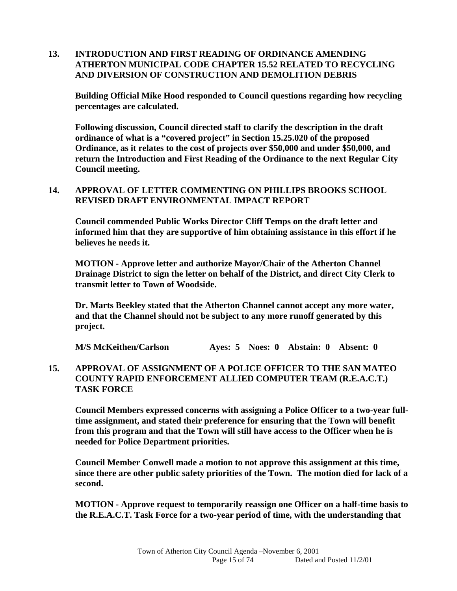#### **13. INTRODUCTION AND FIRST READING OF ORDINANCE AMENDING ATHERTON MUNICIPAL CODE CHAPTER 15.52 RELATED TO RECYCLING AND DIVERSION OF CONSTRUCTION AND DEMOLITION DEBRIS**

 **Building Official Mike Hood responded to Council questions regarding how recycling percentages are calculated.** 

 **Following discussion, Council directed staff to clarify the description in the draft ordinance of what is a "covered project" in Section 15.25.020 of the proposed Ordinance, as it relates to the cost of projects over \$50,000 and under \$50,000, and return the Introduction and First Reading of the Ordinance to the next Regular City Council meeting.** 

#### **14. APPROVAL OF LETTER COMMENTING ON PHILLIPS BROOKS SCHOOL REVISED DRAFT ENVIRONMENTAL IMPACT REPORT**

 **Council commended Public Works Director Cliff Temps on the draft letter and informed him that they are supportive of him obtaining assistance in this effort if he believes he needs it.** 

 **MOTION - Approve letter and authorize Mayor/Chair of the Atherton Channel Drainage District to sign the letter on behalf of the District, and direct City Clerk to transmit letter to Town of Woodside.** 

**Dr. Marts Beekley stated that the Atherton Channel cannot accept any more water, and that the Channel should not be subject to any more runoff generated by this project.** 

**M/S McKeithen/Carlson Ayes: 5 Noes: 0 Abstain: 0 Absent: 0** 

#### **15. APPROVAL OF ASSIGNMENT OF A POLICE OFFICER TO THE SAN MATEO COUNTY RAPID ENFORCEMENT ALLIED COMPUTER TEAM (R.E.A.C.T.) TASK FORCE**

 **Council Members expressed concerns with assigning a Police Officer to a two-year fulltime assignment, and stated their preference for ensuring that the Town will benefit from this program and that the Town will still have access to the Officer when he is needed for Police Department priorities.** 

 **Council Member Conwell made a motion to not approve this assignment at this time, since there are other public safety priorities of the Town. The motion died for lack of a second.** 

 **MOTION - Approve request to temporarily reassign one Officer on a half-time basis to the R.E.A.C.T. Task Force for a two-year period of time, with the understanding that**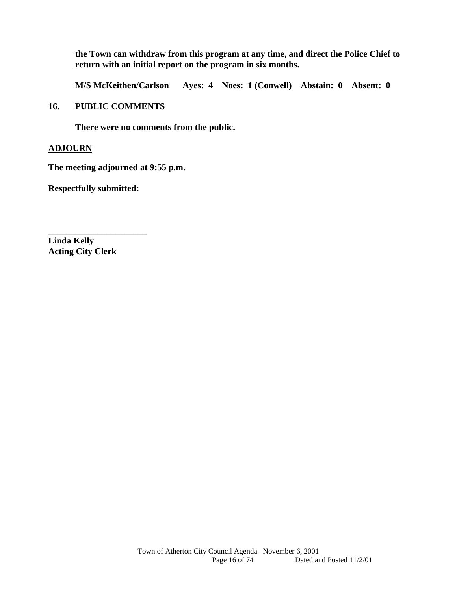**the Town can withdraw from this program at any time, and direct the Police Chief to return with an initial report on the program in six months.** 

**M/S McKeithen/Carlson Ayes: 4 Noes: 1 (Conwell) Abstain: 0 Absent: 0** 

#### **16. PUBLIC COMMENTS**

 **There were no comments from the public.** 

#### **ADJOURN**

**The meeting adjourned at 9:55 p.m.** 

**Respectfully submitted:** 

**\_\_\_\_\_\_\_\_\_\_\_\_\_\_\_\_\_\_\_\_\_\_** 

**Linda Kelly Acting City Clerk**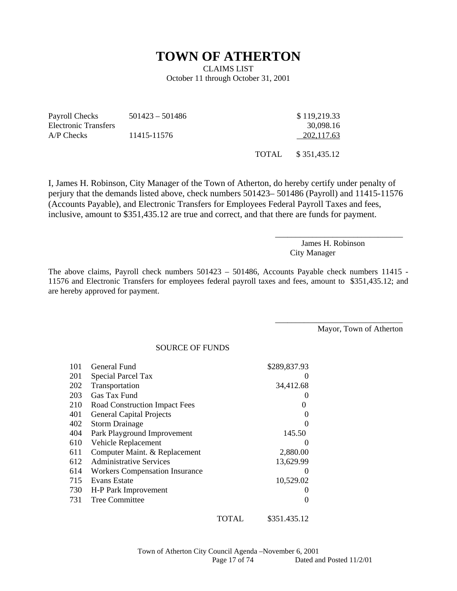### **TOWN OF ATHERTON**

CLAIMS LIST October 11 through October 31, 2001

| Payroll Checks       | $501423 - 501486$ | \$119,219.33 |
|----------------------|-------------------|--------------|
| Electronic Transfers |                   | 30.098.16    |
| $A/P$ Checks         | 11415-11576       | 202.117.63   |
|                      |                   |              |

TOTAL \$ 351,435.12

I, James H. Robinson, City Manager of the Town of Atherton, do hereby certify under penalty of perjury that the demands listed above, check numbers 501423– 501486 (Payroll) and 11415-11576 (Accounts Payable), and Electronic Transfers for Employees Federal Payroll Taxes and fees, inclusive, amount to \$351,435.12 are true and correct, and that there are funds for payment.

> James H. Robinson City Manager

\_\_\_\_\_\_\_\_\_\_\_\_\_\_\_\_\_\_\_\_\_\_\_\_\_\_\_\_\_\_\_

\_\_\_\_\_\_\_\_\_\_\_\_\_\_\_\_\_\_\_\_\_\_\_\_\_\_\_\_\_\_\_

The above claims, Payroll check numbers 501423 – 501486, Accounts Payable check numbers 11415 - 11576 and Electronic Transfers for employees federal payroll taxes and fees, amount to \$351,435.12; and are hereby approved for payment.

Mayor, Town of Atherton

SOURCE OF FUNDS

| 101 | General Fund                          |       | \$289,837.93      |
|-----|---------------------------------------|-------|-------------------|
| 201 | Special Parcel Tax                    |       |                   |
| 202 | Transportation                        |       | 34,412.68         |
| 203 | Gas Tax Fund                          |       |                   |
| 210 | <b>Road Construction Impact Fees</b>  |       |                   |
| 401 | <b>General Capital Projects</b>       |       |                   |
| 402 | <b>Storm Drainage</b>                 |       |                   |
| 404 | Park Playground Improvement           |       | 145.50            |
| 610 | Vehicle Replacement                   |       | $\mathbf{\Omega}$ |
| 611 | Computer Maint. & Replacement         |       | 2,880.00          |
| 612 | <b>Administrative Services</b>        |       | 13,629.99         |
| 614 | <b>Workers Compensation Insurance</b> |       |                   |
| 715 | Evans Estate                          |       | 10,529.02         |
| 730 | H-P Park Improvement                  |       |                   |
| 731 | Tree Committee                        |       |                   |
|     |                                       | TOTAL | \$351.435.12      |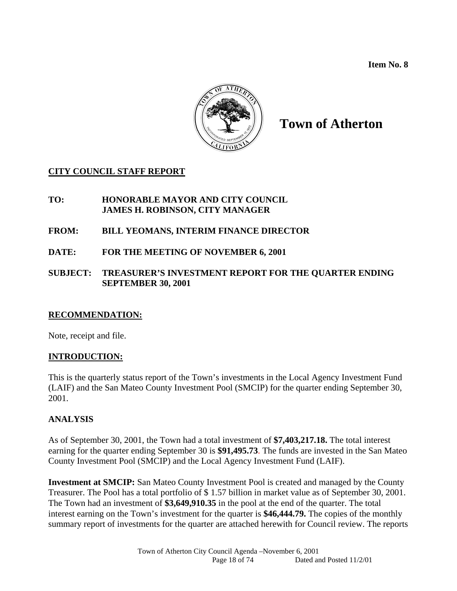**Item No. 8** 



# **Town of Atherton**

#### **CITY COUNCIL STAFF REPORT**

#### **TO: HONORABLE MAYOR AND CITY COUNCIL JAMES H. ROBINSON, CITY MANAGER**

#### **FROM: BILL YEOMANS, INTERIM FINANCE DIRECTOR**

**DATE: FOR THE MEETING OF NOVEMBER 6, 2001** 

#### **SUBJECT: TREASURER'S INVESTMENT REPORT FOR THE QUARTER ENDING SEPTEMBER 30, 2001**

#### **RECOMMENDATION:**

Note, receipt and file.

#### **INTRODUCTION:**

This is the quarterly status report of the Town's investments in the Local Agency Investment Fund (LAIF) and the San Mateo County Investment Pool (SMCIP) for the quarter ending September 30, 2001.

#### **ANALYSIS**

As of September 30, 2001, the Town had a total investment of **\$7,403,217.18.** The total interest earning for the quarter ending September 30 is **\$91,495.73**. The funds are invested in the San Mateo County Investment Pool (SMCIP) and the Local Agency Investment Fund (LAIF).

**Investment at SMCIP:** San Mateo County Investment Pool is created and managed by the County Treasurer. The Pool has a total portfolio of \$ 1.57 billion in market value as of September 30, 2001. The Town had an investment of **\$3,649,910.35** in the pool at the end of the quarter. The total interest earning on the Town's investment for the quarter is **\$46,444.79.** The copies of the monthly summary report of investments for the quarter are attached herewith for Council review. The reports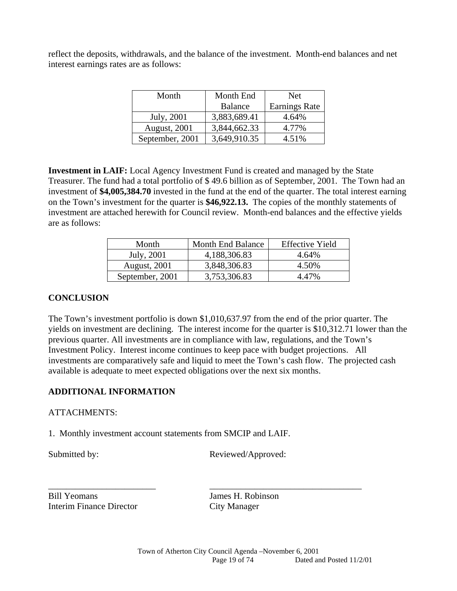reflect the deposits, withdrawals, and the balance of the investment. Month-end balances and net interest earnings rates are as follows:

| Month           | Month End      | <b>Net</b>           |
|-----------------|----------------|----------------------|
|                 | <b>Balance</b> | <b>Earnings Rate</b> |
| July, 2001      | 3,883,689.41   | 4.64%                |
| August, 2001    | 3,844,662.33   | 4.77%                |
| September, 2001 | 3,649,910.35   | 4.51%                |

**Investment in LAIF:** Local Agency Investment Fund is created and managed by the State Treasurer. The fund had a total portfolio of \$ 49.6 billion as of September, 2001. The Town had an investment of **\$4,005,384.70** invested in the fund at the end of the quarter. The total interest earning on the Town's investment for the quarter is **\$46,922.13.** The copies of the monthly statements of investment are attached herewith for Council review. Month-end balances and the effective yields are as follows:

| Month                | <b>Month End Balance</b> | <b>Effective Yield</b> |
|----------------------|--------------------------|------------------------|
| July, 2001           | 4,188,306.83             | 4.64%                  |
| <b>August</b> , 2001 | 3,848,306.83             | 4.50%                  |
| September, 2001      | 3,753,306.83             | 4.47%                  |

#### **CONCLUSION**

The Town's investment portfolio is down \$1,010,637.97 from the end of the prior quarter. The yields on investment are declining. The interest income for the quarter is \$10,312.71 lower than the previous quarter. All investments are in compliance with law, regulations, and the Town's Investment Policy. Interest income continues to keep pace with budget projections. All investments are comparatively safe and liquid to meet the Town's cash flow. The projected cash available is adequate to meet expected obligations over the next six months.

#### **ADDITIONAL INFORMATION**

#### ATTACHMENTS:

1. Monthly investment account statements from SMCIP and LAIF.

Submitted by: Reviewed/Approved:

Bill Yeomans James H. Robinson Interim Finance Director City Manager

\_\_\_\_\_\_\_\_\_\_\_\_\_\_\_\_\_\_\_\_\_\_\_\_ \_\_\_\_\_\_\_\_\_\_\_\_\_\_\_\_\_\_\_\_\_\_\_\_\_\_\_\_\_\_\_\_\_\_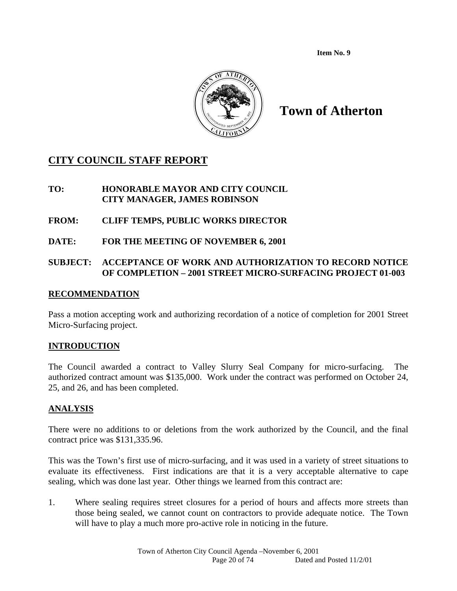**Item No. 9** 



# **Town of Atherton**

### **CITY COUNCIL STAFF REPORT**

**TO: HONORABLE MAYOR AND CITY COUNCIL CITY MANAGER, JAMES ROBINSON** 

- **FROM: CLIFF TEMPS, PUBLIC WORKS DIRECTOR**
- **DATE: FOR THE MEETING OF NOVEMBER 6, 2001**

#### **SUBJECT: ACCEPTANCE OF WORK AND AUTHORIZATION TO RECORD NOTICE OF COMPLETION – 2001 STREET MICRO-SURFACING PROJECT 01-003**

#### **RECOMMENDATION**

Pass a motion accepting work and authorizing recordation of a notice of completion for 2001 Street Micro-Surfacing project.

#### **INTRODUCTION**

The Council awarded a contract to Valley Slurry Seal Company for micro-surfacing. The authorized contract amount was \$135,000. Work under the contract was performed on October 24, 25, and 26, and has been completed.

#### **ANALYSIS**

There were no additions to or deletions from the work authorized by the Council, and the final contract price was \$131,335.96.

This was the Town's first use of micro-surfacing, and it was used in a variety of street situations to evaluate its effectiveness. First indications are that it is a very acceptable alternative to cape sealing, which was done last year. Other things we learned from this contract are:

1. Where sealing requires street closures for a period of hours and affects more streets than those being sealed, we cannot count on contractors to provide adequate notice. The Town will have to play a much more pro-active role in noticing in the future.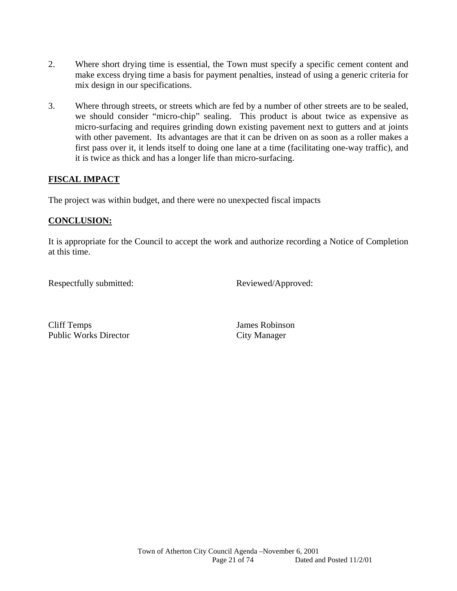- 2. Where short drying time is essential, the Town must specify a specific cement content and make excess drying time a basis for payment penalties, instead of using a generic criteria for mix design in our specifications.
- 3. Where through streets, or streets which are fed by a number of other streets are to be sealed, we should consider "micro-chip" sealing. This product is about twice as expensive as micro-surfacing and requires grinding down existing pavement next to gutters and at joints with other pavement. Its advantages are that it can be driven on as soon as a roller makes a first pass over it, it lends itself to doing one lane at a time (facilitating one-way traffic), and it is twice as thick and has a longer life than micro-surfacing.

#### **FISCAL IMPACT**

The project was within budget, and there were no unexpected fiscal impacts

#### **CONCLUSION:**

It is appropriate for the Council to accept the work and authorize recording a Notice of Completion at this time.

Respectfully submitted: Reviewed/Approved:

Cliff Temps James Robinson Public Works Director City Manager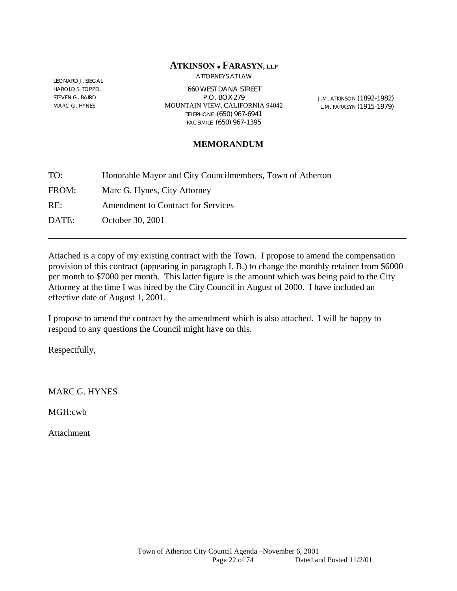#### **ATKINSON FARASYN, LLP**

LEONARD J. SIEGAL HAROLD S. TOPPEL STEVEN G. BAIRD MARC G. HYNES

ATTORNEYS AT LAW

660 WEST DANA STREET P.O. BOX 279 MOUNTAIN VIEW, CALIFORNIA 94042 TELEPHONE (650) 967-6941 FACSIMILE (650) 967-1395

J.M. ATKINSON (1892-1982) L.M. FARASYN (1915-1979)

#### **MEMORANDUM**

| TO:   | Honorable Mayor and City Councilmembers, Town of Atherton |
|-------|-----------------------------------------------------------|
| FROM: | Marc G. Hynes, City Attorney                              |
| RE:   | <b>Amendment to Contract for Services</b>                 |
| DATE: | October 30, 2001                                          |

Attached is a copy of my existing contract with the Town. I propose to amend the compensation provision of this contract (appearing in paragraph I. B.) to change the monthly retainer from \$6000 per month to \$7000 per month. This latter figure is the amount which was being paid to the City Attorney at the time I was hired by the City Council in August of 2000. I have included an effective date of August 1, 2001.

\_\_\_\_\_\_\_\_\_\_\_\_\_\_\_\_\_\_\_\_\_\_\_\_\_\_\_\_\_\_\_\_\_\_\_\_\_\_\_\_\_\_\_\_\_\_\_\_\_\_\_\_\_\_\_\_\_\_\_\_\_\_\_\_\_\_\_\_\_\_\_\_\_\_\_\_\_\_\_\_

I propose to amend the contract by the amendment which is also attached. I will be happy to respond to any questions the Council might have on this.

Respectfully,

MARC G. HYNES

MGH:cwb

Attachment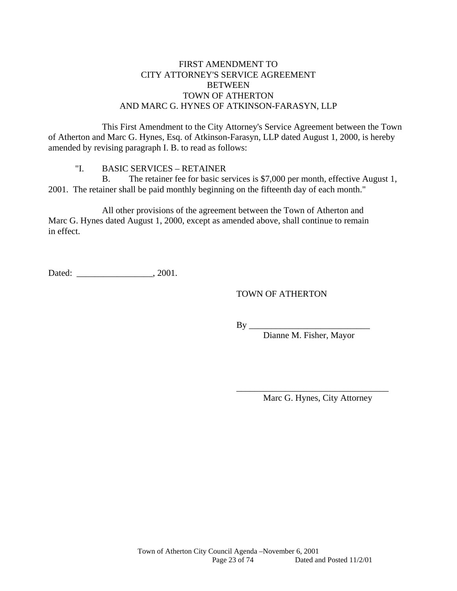#### FIRST AMENDMENT TO CITY ATTORNEY'S SERVICE AGREEMENT **BETWEEN** TOWN OF ATHERTON AND MARC G. HYNES OF ATKINSON-FARASYN, LLP

 This First Amendment to the City Attorney's Service Agreement between the Town of Atherton and Marc G. Hynes, Esq. of Atkinson-Farasyn, LLP dated August 1, 2000, is hereby amended by revising paragraph I. B. to read as follows:

"I. BASIC SERVICES – RETAINER

 B. The retainer fee for basic services is \$7,000 per month, effective August 1, 2001. The retainer shall be paid monthly beginning on the fifteenth day of each month."

 All other provisions of the agreement between the Town of Atherton and Marc G. Hynes dated August 1, 2000, except as amended above, shall continue to remain in effect.

Dated:  $0.2001$ .

TOWN OF ATHERTON

 $By \_\_$ 

 $\overline{\phantom{a}}$  , and the contract of the contract of the contract of the contract of the contract of the contract of the contract of the contract of the contract of the contract of the contract of the contract of the contrac

Dianne M. Fisher, Mayor

Marc G. Hynes, City Attorney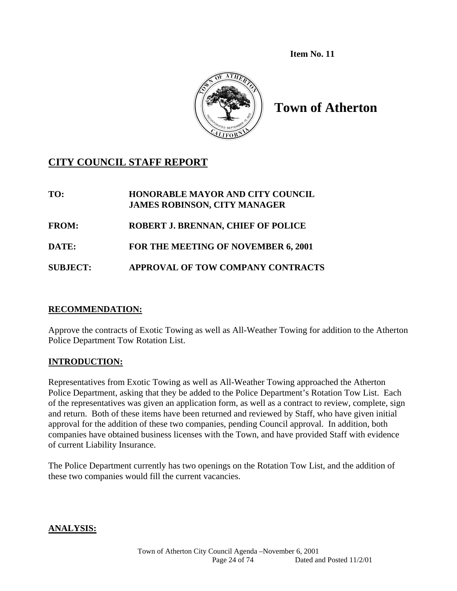**Item No. 11** 



**Town of Atherton** 

### **CITY COUNCIL STAFF REPORT**

**TO: HONORABLE MAYOR AND CITY COUNCIL JAMES ROBINSON, CITY MANAGER FROM: ROBERT J. BRENNAN, CHIEF OF POLICE DATE: FOR THE MEETING OF NOVEMBER 6, 2001 SUBJECT: APPROVAL OF TOW COMPANY CONTRACTS** 

#### **RECOMMENDATION:**

Approve the contracts of Exotic Towing as well as All-Weather Towing for addition to the Atherton Police Department Tow Rotation List.

#### **INTRODUCTION:**

Representatives from Exotic Towing as well as All-Weather Towing approached the Atherton Police Department, asking that they be added to the Police Department's Rotation Tow List. Each of the representatives was given an application form, as well as a contract to review, complete, sign and return. Both of these items have been returned and reviewed by Staff, who have given initial approval for the addition of these two companies, pending Council approval. In addition, both companies have obtained business licenses with the Town, and have provided Staff with evidence of current Liability Insurance.

The Police Department currently has two openings on the Rotation Tow List, and the addition of these two companies would fill the current vacancies.

#### **ANALYSIS:**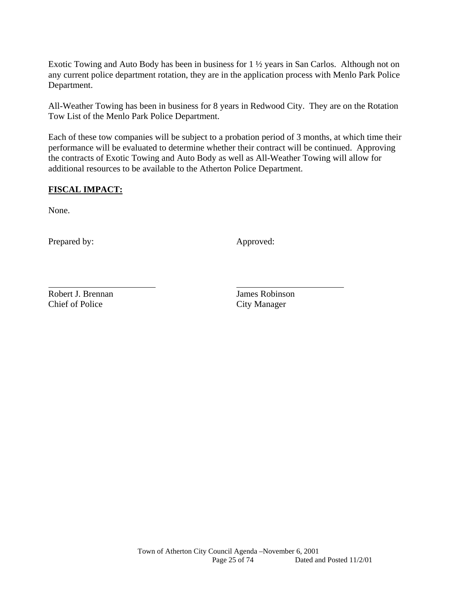Exotic Towing and Auto Body has been in business for 1 ½ years in San Carlos. Although not on any current police department rotation, they are in the application process with Menlo Park Police Department.

All-Weather Towing has been in business for 8 years in Redwood City. They are on the Rotation Tow List of the Menlo Park Police Department.

Each of these tow companies will be subject to a probation period of 3 months, at which time their performance will be evaluated to determine whether their contract will be continued. Approving the contracts of Exotic Towing and Auto Body as well as All-Weather Towing will allow for additional resources to be available to the Atherton Police Department.

#### **FISCAL IMPACT:**

None.

l

Prepared by: Approved: Approved:

Robert J. Brennan James Robinson Chief of Police City Manager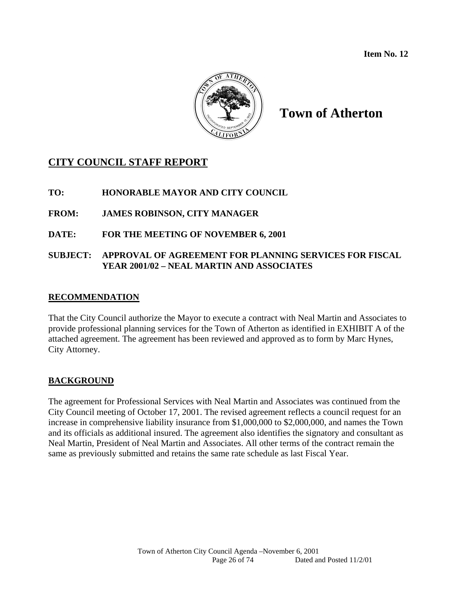**Item No. 12** 



# **Town of Atherton**

### **CITY COUNCIL STAFF REPORT**

**TO: HONORABLE MAYOR AND CITY COUNCIL** 

**FROM: JAMES ROBINSON, CITY MANAGER** 

**DATE: FOR THE MEETING OF NOVEMBER 6, 2001** 

#### **SUBJECT: APPROVAL OF AGREEMENT FOR PLANNING SERVICES FOR FISCAL YEAR 2001/02 – NEAL MARTIN AND ASSOCIATES**

#### **RECOMMENDATION**

That the City Council authorize the Mayor to execute a contract with Neal Martin and Associates to provide professional planning services for the Town of Atherton as identified in EXHIBIT A of the attached agreement. The agreement has been reviewed and approved as to form by Marc Hynes, City Attorney.

#### **BACKGROUND**

The agreement for Professional Services with Neal Martin and Associates was continued from the City Council meeting of October 17, 2001. The revised agreement reflects a council request for an increase in comprehensive liability insurance from \$1,000,000 to \$2,000,000, and names the Town and its officials as additional insured. The agreement also identifies the signatory and consultant as Neal Martin, President of Neal Martin and Associates. All other terms of the contract remain the same as previously submitted and retains the same rate schedule as last Fiscal Year.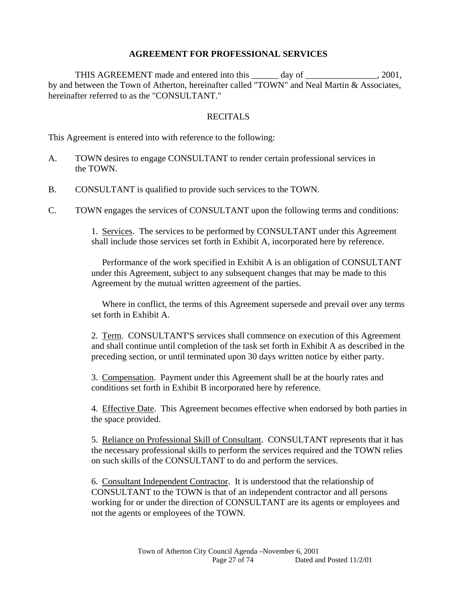#### **AGREEMENT FOR PROFESSIONAL SERVICES**

THIS AGREEMENT made and entered into this day of the same can consider the same can consider the same can consider the same can consider the same can consider the same can consider the same can consider the same can consid by and between the Town of Atherton, hereinafter called "TOWN" and Neal Martin & Associates, hereinafter referred to as the "CONSULTANT."

#### RECITALS

This Agreement is entered into with reference to the following:

- A. TOWN desires to engage CONSULTANT to render certain professional services in the TOWN.
- B. CONSULTANT is qualified to provide such services to the TOWN.
- C. TOWN engages the services of CONSULTANT upon the following terms and conditions:

 1. Services. The services to be performed by CONSULTANT under this Agreement shall include those services set forth in Exhibit A, incorporated here by reference.

 Performance of the work specified in Exhibit A is an obligation of CONSULTANT under this Agreement, subject to any subsequent changes that may be made to this Agreement by the mutual written agreement of the parties.

 Where in conflict, the terms of this Agreement supersede and prevail over any terms set forth in Exhibit A.

2. Term. CONSULTANT'S services shall commence on execution of this Agreement and shall continue until completion of the task set forth in Exhibit A as described in the preceding section, or until terminated upon 30 days written notice by either party.

 3. Compensation. Payment under this Agreement shall be at the hourly rates and conditions set forth in Exhibit B incorporated here by reference.

 4. Effective Date. This Agreement becomes effective when endorsed by both parties in the space provided.

 5. Reliance on Professional Skill of Consultant. CONSULTANT represents that it has the necessary professional skills to perform the services required and the TOWN relies on such skills of the CONSULTANT to do and perform the services.

 6. Consultant Independent Contractor. It is understood that the relationship of CONSULTANT to the TOWN is that of an independent contractor and all persons working for or under the direction of CONSULTANT are its agents or employees and not the agents or employees of the TOWN.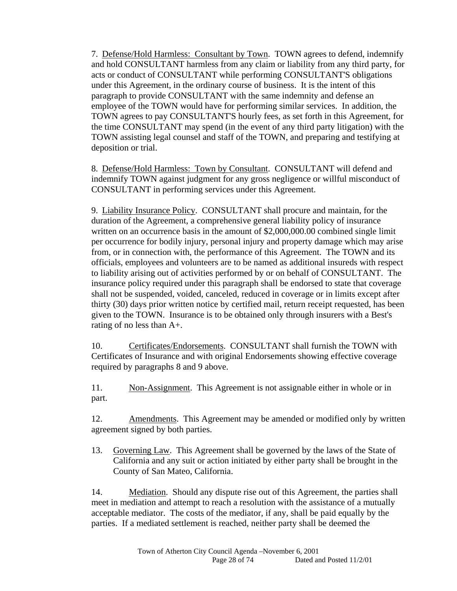7. Defense/Hold Harmless: Consultant by Town. TOWN agrees to defend, indemnify and hold CONSULTANT harmless from any claim or liability from any third party, for acts or conduct of CONSULTANT while performing CONSULTANT'S obligations under this Agreement, in the ordinary course of business. It is the intent of this paragraph to provide CONSULTANT with the same indemnity and defense an employee of the TOWN would have for performing similar services. In addition, the TOWN agrees to pay CONSULTANT'S hourly fees, as set forth in this Agreement, for the time CONSULTANT may spend (in the event of any third party litigation) with the TOWN assisting legal counsel and staff of the TOWN, and preparing and testifying at deposition or trial.

 8. Defense/Hold Harmless: Town by Consultant. CONSULTANT will defend and indemnify TOWN against judgment for any gross negligence or willful misconduct of CONSULTANT in performing services under this Agreement.

 9. Liability Insurance Policy. CONSULTANT shall procure and maintain, for the duration of the Agreement, a comprehensive general liability policy of insurance written on an occurrence basis in the amount of \$2,000,000.00 combined single limit per occurrence for bodily injury, personal injury and property damage which may arise from, or in connection with, the performance of this Agreement. The TOWN and its officials, employees and volunteers are to be named as additional insureds with respect to liability arising out of activities performed by or on behalf of CONSULTANT. The insurance policy required under this paragraph shall be endorsed to state that coverage shall not be suspended, voided, canceled, reduced in coverage or in limits except after thirty (30) days prior written notice by certified mail, return receipt requested, has been given to the TOWN. Insurance is to be obtained only through insurers with a Best's rating of no less than A+.

 10. Certificates/Endorsements. CONSULTANT shall furnish the TOWN with Certificates of Insurance and with original Endorsements showing effective coverage required by paragraphs 8 and 9 above.

 11. Non-Assignment. This Agreement is not assignable either in whole or in part.

 12. Amendments. This Agreement may be amended or modified only by written agreement signed by both parties.

13. Governing Law. This Agreement shall be governed by the laws of the State of California and any suit or action initiated by either party shall be brought in the County of San Mateo, California.

 14. Mediation. Should any dispute rise out of this Agreement, the parties shall meet in mediation and attempt to reach a resolution with the assistance of a mutually acceptable mediator. The costs of the mediator, if any, shall be paid equally by the parties. If a mediated settlement is reached, neither party shall be deemed the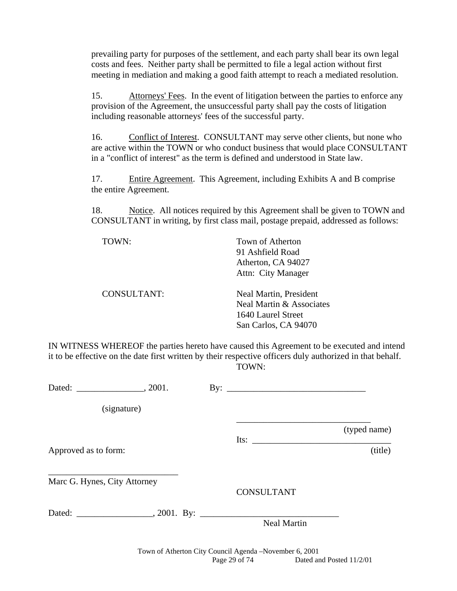prevailing party for purposes of the settlement, and each party shall bear its own legal costs and fees. Neither party shall be permitted to file a legal action without first meeting in mediation and making a good faith attempt to reach a mediated resolution.

 15. Attorneys' Fees. In the event of litigation between the parties to enforce any provision of the Agreement, the unsuccessful party shall pay the costs of litigation including reasonable attorneys' fees of the successful party.

 16. Conflict of Interest. CONSULTANT may serve other clients, but none who are active within the TOWN or who conduct business that would place CONSULTANT in a "conflict of interest" as the term is defined and understood in State law.

 17. Entire Agreement. This Agreement, including Exhibits A and B comprise the entire Agreement.

 18. Notice. All notices required by this Agreement shall be given to TOWN and CONSULTANT in writing, by first class mail, postage prepaid, addressed as follows:

TOWN: Town of Atherton 91 Ashfield Road Atherton, CA 94027 Attn: City Manager

 CONSULTANT: Neal Martin, President Neal Martin & Associates 1640 Laurel Street San Carlos, CA 94070

IN WITNESS WHEREOF the parties hereto have caused this Agreement to be executed and intend it to be effective on the date first written by their respective officers duly authorized in that behalf. TOWN:

|                              |  | By: $\overline{\phantom{a}}$                                                                                                                                                                                                                                                                                                                                                                                  |              |
|------------------------------|--|---------------------------------------------------------------------------------------------------------------------------------------------------------------------------------------------------------------------------------------------------------------------------------------------------------------------------------------------------------------------------------------------------------------|--------------|
| (signature)                  |  |                                                                                                                                                                                                                                                                                                                                                                                                               |              |
|                              |  |                                                                                                                                                                                                                                                                                                                                                                                                               | (typed name) |
| Approved as to form:         |  | Its: $\frac{1}{\sqrt{1-\frac{1}{2}}\sqrt{1-\frac{1}{2}}\sqrt{1-\frac{1}{2}}\sqrt{1-\frac{1}{2}}\sqrt{1-\frac{1}{2}}\sqrt{1-\frac{1}{2}}\sqrt{1-\frac{1}{2}}\sqrt{1-\frac{1}{2}}\sqrt{1-\frac{1}{2}}\sqrt{1-\frac{1}{2}}\sqrt{1-\frac{1}{2}}\sqrt{1-\frac{1}{2}}\sqrt{1-\frac{1}{2}}\sqrt{1-\frac{1}{2}}\sqrt{1-\frac{1}{2}}\sqrt{1-\frac{1}{2}}\sqrt{1-\frac{1}{2}}\sqrt{1-\frac{1}{2}}\sqrt{1-\frac{1}{2}}\$ | (title)      |
| Marc G. Hynes, City Attorney |  |                                                                                                                                                                                                                                                                                                                                                                                                               |              |
|                              |  | <b>CONSULTANT</b>                                                                                                                                                                                                                                                                                                                                                                                             |              |
|                              |  |                                                                                                                                                                                                                                                                                                                                                                                                               |              |
|                              |  | <b>Neal Martin</b>                                                                                                                                                                                                                                                                                                                                                                                            |              |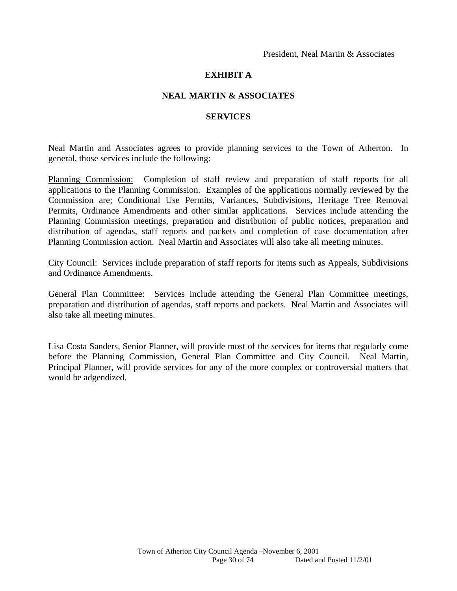#### **EXHIBIT A**

#### **NEAL MARTIN & ASSOCIATES**

#### **SERVICES**

Neal Martin and Associates agrees to provide planning services to the Town of Atherton. In general, those services include the following:

Planning Commission: Completion of staff review and preparation of staff reports for all applications to the Planning Commission. Examples of the applications normally reviewed by the Commission are; Conditional Use Permits, Variances, Subdivisions, Heritage Tree Removal Permits, Ordinance Amendments and other similar applications. Services include attending the Planning Commission meetings, preparation and distribution of public notices, preparation and distribution of agendas, staff reports and packets and completion of case documentation after Planning Commission action. Neal Martin and Associates will also take all meeting minutes.

City Council: Services include preparation of staff reports for items such as Appeals, Subdivisions and Ordinance Amendments.

General Plan Committee: Services include attending the General Plan Committee meetings, preparation and distribution of agendas, staff reports and packets. Neal Martin and Associates will also take all meeting minutes.

Lisa Costa Sanders, Senior Planner, will provide most of the services for items that regularly come before the Planning Commission, General Plan Committee and City Council. Neal Martin, Principal Planner, will provide services for any of the more complex or controversial matters that would be adgendized.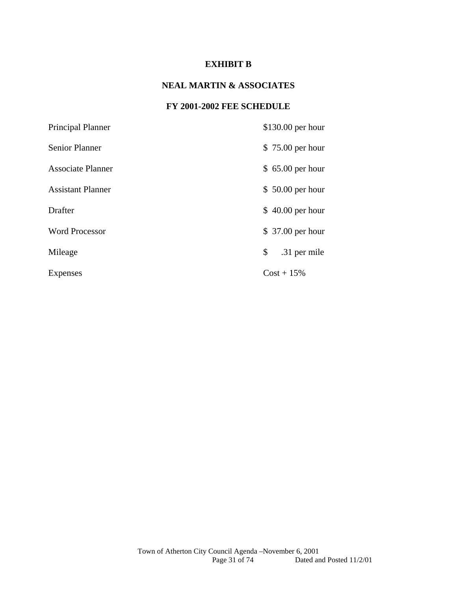#### **EXHIBIT B**

#### **NEAL MARTIN & ASSOCIATES**

#### **FY 2001-2002 FEE SCHEDULE**

| Principal Planner        | $$130.00$ per hour |
|--------------------------|--------------------|
| Senior Planner           | \$75.00 per hour   |
| <b>Associate Planner</b> | $$65.00$ per hour  |
| <b>Assistant Planner</b> | $$50.00$ per hour  |
| Drafter                  | $$40.00$ per hour  |
| <b>Word Processor</b>    | \$37.00 per hour   |
| Mileage                  | \$<br>.31 per mile |
| Expenses                 | $Cost + 15\%$      |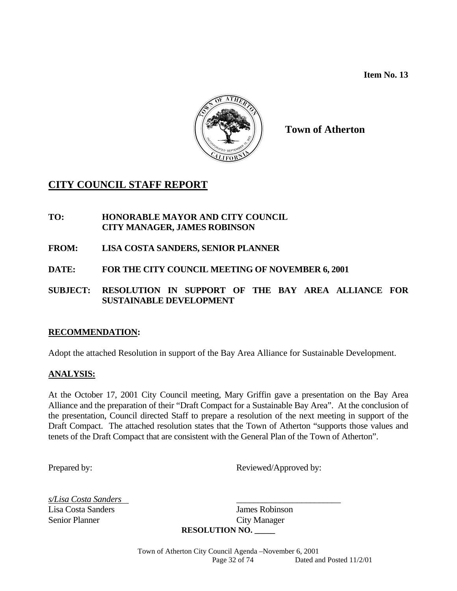**Item No. 13** 



**Town of Atherton** 

### **CITY COUNCIL STAFF REPORT**

- **TO: HONORABLE MAYOR AND CITY COUNCIL CITY MANAGER, JAMES ROBINSON**
- **FROM: LISA COSTA SANDERS, SENIOR PLANNER**
- **DATE: FOR THE CITY COUNCIL MEETING OF NOVEMBER 6, 2001**
- **SUBJECT: RESOLUTION IN SUPPORT OF THE BAY AREA ALLIANCE FOR SUSTAINABLE DEVELOPMENT**

#### **RECOMMENDATION:**

Adopt the attached Resolution in support of the Bay Area Alliance for Sustainable Development.

#### **ANALYSIS:**

At the October 17, 2001 City Council meeting, Mary Griffin gave a presentation on the Bay Area Alliance and the preparation of their "Draft Compact for a Sustainable Bay Area". At the conclusion of the presentation, Council directed Staff to prepare a resolution of the next meeting in support of the Draft Compact. The attached resolution states that the Town of Atherton "supports those values and tenets of the Draft Compact that are consistent with the General Plan of the Town of Atherton".

Prepared by: Reviewed/Approved by:

*s/Lisa Costa Sanders* \_\_\_\_\_\_\_\_\_\_\_\_\_\_\_\_\_\_\_\_\_\_\_\_ Senior Planner City Manager

Lisa Costa Sanders James Robinson **RESOLUTION NO. \_\_\_\_\_**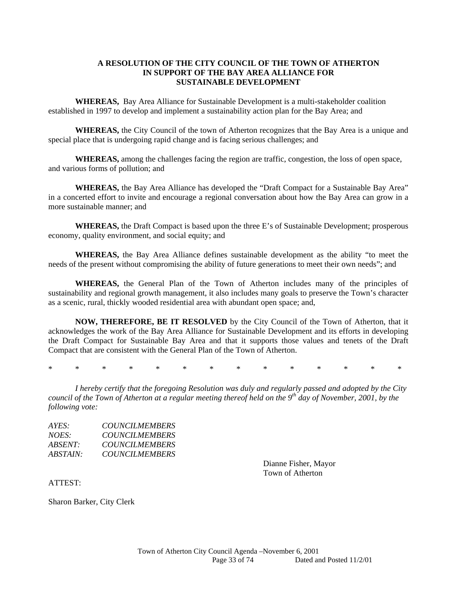#### **A RESOLUTION OF THE CITY COUNCIL OF THE TOWN OF ATHERTON IN SUPPORT OF THE BAY AREA ALLIANCE FOR SUSTAINABLE DEVELOPMENT**

 **WHEREAS,** Bay Area Alliance for Sustainable Development is a multi-stakeholder coalition established in 1997 to develop and implement a sustainability action plan for the Bay Area; and

 **WHEREAS,** the City Council of the town of Atherton recognizes that the Bay Area is a unique and special place that is undergoing rapid change and is facing serious challenges; and

 **WHEREAS,** among the challenges facing the region are traffic, congestion, the loss of open space, and various forms of pollution; and

 **WHEREAS,** the Bay Area Alliance has developed the "Draft Compact for a Sustainable Bay Area" in a concerted effort to invite and encourage a regional conversation about how the Bay Area can grow in a more sustainable manner; and

 **WHEREAS,** the Draft Compact is based upon the three E's of Sustainable Development; prosperous economy, quality environment, and social equity; and

 **WHEREAS,** the Bay Area Alliance defines sustainable development as the ability "to meet the needs of the present without compromising the ability of future generations to meet their own needs"; and

 **WHEREAS,** the General Plan of the Town of Atherton includes many of the principles of sustainability and regional growth management, it also includes many goals to preserve the Town's character as a scenic, rural, thickly wooded residential area with abundant open space; and,

 **NOW, THEREFORE, BE IT RESOLVED** by the City Council of the Town of Atherton, that it acknowledges the work of the Bay Area Alliance for Sustainable Development and its efforts in developing the Draft Compact for Sustainable Bay Area and that it supports those values and tenets of the Draft Compact that are consistent with the General Plan of the Town of Atherton.

\* \* \* \* \* \* \* \* \* \* \* \* \* \*

*I hereby certify that the foregoing Resolution was duly and regularly passed and adopted by the City council of the Town of Atherton at a regular meeting thereof held on the 9th day of November, 2001, by the following vote:* 

| AYES:           | <b>COUNCILMEMBERS</b> |
|-----------------|-----------------------|
| <i>NOES:</i>    | <b>COUNCILMEMBERS</b> |
| <i>ABSENT:</i>  | <b>COUNCILMEMBERS</b> |
| <i>ABSTAIN:</i> | <b>COUNCILMEMBERS</b> |

Dianne Fisher, Mayor Town of Atherton

ATTEST:

Sharon Barker, City Clerk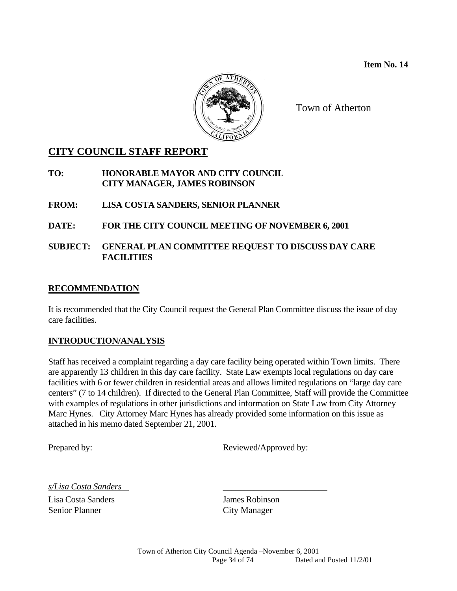

Town of Atherton

### **CITY COUNCIL STAFF REPORT**

**TO: HONORABLE MAYOR AND CITY COUNCIL CITY MANAGER, JAMES ROBINSON** 

**FROM: LISA COSTA SANDERS, SENIOR PLANNER** 

#### **DATE: FOR THE CITY COUNCIL MEETING OF NOVEMBER 6, 2001**

#### **SUBJECT: GENERAL PLAN COMMITTEE REQUEST TO DISCUSS DAY CARE FACILITIES**

#### **RECOMMENDATION**

It is recommended that the City Council request the General Plan Committee discuss the issue of day care facilities.

#### **INTRODUCTION/ANALYSIS**

Staff has received a complaint regarding a day care facility being operated within Town limits. There are apparently 13 children in this day care facility. State Law exempts local regulations on day care facilities with 6 or fewer children in residential areas and allows limited regulations on "large day care centers" (7 to 14 children). If directed to the General Plan Committee, Staff will provide the Committee with examples of regulations in other jurisdictions and information on State Law from City Attorney Marc Hynes. City Attorney Marc Hynes has already provided some information on this issue as attached in his memo dated September 21, 2001.

Prepared by: Reviewed/Approved by:

*s/Lisa Costa Sanders* \_\_\_\_\_\_\_\_\_\_\_\_\_\_\_\_\_\_\_\_\_\_\_\_

Lisa Costa Sanders James Robinson Senior Planner City Manager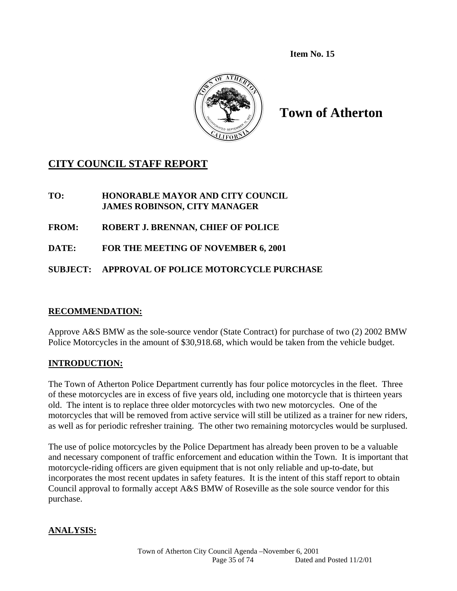**Item No. 15**



**Town of Atherton** 

### **CITY COUNCIL STAFF REPORT**

#### **TO: HONORABLE MAYOR AND CITY COUNCIL JAMES ROBINSON, CITY MANAGER**

**FROM: ROBERT J. BRENNAN, CHIEF OF POLICE** 

**DATE: FOR THE MEETING OF NOVEMBER 6, 2001** 

### **SUBJECT: APPROVAL OF POLICE MOTORCYCLE PURCHASE**

#### **RECOMMENDATION:**

Approve A&S BMW as the sole-source vendor (State Contract) for purchase of two (2) 2002 BMW Police Motorcycles in the amount of \$30,918.68, which would be taken from the vehicle budget.

#### **INTRODUCTION:**

The Town of Atherton Police Department currently has four police motorcycles in the fleet. Three of these motorcycles are in excess of five years old, including one motorcycle that is thirteen years old. The intent is to replace three older motorcycles with two new motorcycles. One of the motorcycles that will be removed from active service will still be utilized as a trainer for new riders, as well as for periodic refresher training. The other two remaining motorcycles would be surplused.

The use of police motorcycles by the Police Department has already been proven to be a valuable and necessary component of traffic enforcement and education within the Town. It is important that motorcycle-riding officers are given equipment that is not only reliable and up-to-date, but incorporates the most recent updates in safety features. It is the intent of this staff report to obtain Council approval to formally accept A&S BMW of Roseville as the sole source vendor for this purchase.

#### **ANALYSIS:**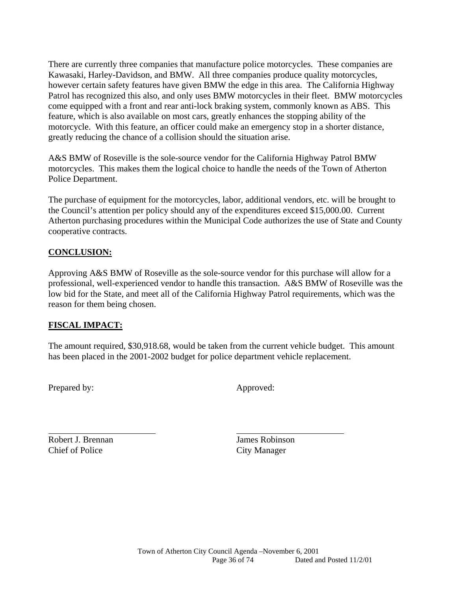There are currently three companies that manufacture police motorcycles. These companies are Kawasaki, Harley-Davidson, and BMW. All three companies produce quality motorcycles, however certain safety features have given BMW the edge in this area. The California Highway Patrol has recognized this also, and only uses BMW motorcycles in their fleet. BMW motorcycles come equipped with a front and rear anti-lock braking system, commonly known as ABS. This feature, which is also available on most cars, greatly enhances the stopping ability of the motorcycle. With this feature, an officer could make an emergency stop in a shorter distance, greatly reducing the chance of a collision should the situation arise.

A&S BMW of Roseville is the sole-source vendor for the California Highway Patrol BMW motorcycles. This makes them the logical choice to handle the needs of the Town of Atherton Police Department.

The purchase of equipment for the motorcycles, labor, additional vendors, etc. will be brought to the Council's attention per policy should any of the expenditures exceed \$15,000.00. Current Atherton purchasing procedures within the Municipal Code authorizes the use of State and County cooperative contracts.

# **CONCLUSION:**

Approving A&S BMW of Roseville as the sole-source vendor for this purchase will allow for a professional, well-experienced vendor to handle this transaction. A&S BMW of Roseville was the low bid for the State, and meet all of the California Highway Patrol requirements, which was the reason for them being chosen.

## **FISCAL IMPACT:**

The amount required, \$30,918.68, would be taken from the current vehicle budget. This amount has been placed in the 2001-2002 budget for police department vehicle replacement.

Prepared by: Approved:

l

Robert J. Brennan James Robinson Chief of Police City Manager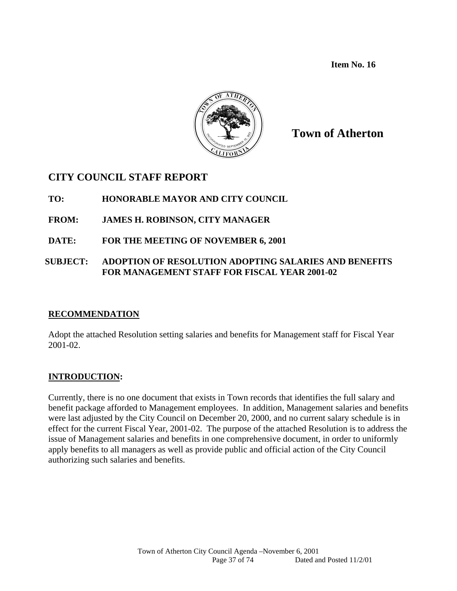**Item No. 16** 



**Town of Atherton**

# **CITY COUNCIL STAFF REPORT**

**TO: HONORABLE MAYOR AND CITY COUNCIL** 

- **FROM: JAMES H. ROBINSON, CITY MANAGER**
- **DATE: FOR THE MEETING OF NOVEMBER 6, 2001**

## **SUBJECT: ADOPTION OF RESOLUTION ADOPTING SALARIES AND BENEFITS FOR MANAGEMENT STAFF FOR FISCAL YEAR 2001-02**

## **RECOMMENDATION**

Adopt the attached Resolution setting salaries and benefits for Management staff for Fiscal Year 2001-02.

## **INTRODUCTION:**

Currently, there is no one document that exists in Town records that identifies the full salary and benefit package afforded to Management employees. In addition, Management salaries and benefits were last adjusted by the City Council on December 20, 2000, and no current salary schedule is in effect for the current Fiscal Year, 2001-02. The purpose of the attached Resolution is to address the issue of Management salaries and benefits in one comprehensive document, in order to uniformly apply benefits to all managers as well as provide public and official action of the City Council authorizing such salaries and benefits.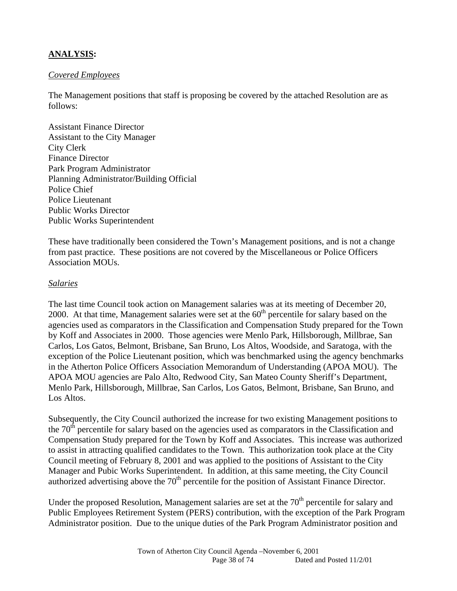# **ANALYSIS:**

#### *Covered Employees*

The Management positions that staff is proposing be covered by the attached Resolution are as follows:

Assistant Finance Director Assistant to the City Manager City Clerk Finance Director Park Program Administrator Planning Administrator/Building Official Police Chief Police Lieutenant Public Works Director Public Works Superintendent

These have traditionally been considered the Town's Management positions, and is not a change from past practice. These positions are not covered by the Miscellaneous or Police Officers Association MOUs.

#### *Salaries*

The last time Council took action on Management salaries was at its meeting of December 20, 2000. At that time, Management salaries were set at the  $60<sup>th</sup>$  percentile for salary based on the agencies used as comparators in the Classification and Compensation Study prepared for the Town by Koff and Associates in 2000. Those agencies were Menlo Park, Hillsborough, Millbrae, San Carlos, Los Gatos, Belmont, Brisbane, San Bruno, Los Altos, Woodside, and Saratoga, with the exception of the Police Lieutenant position, which was benchmarked using the agency benchmarks in the Atherton Police Officers Association Memorandum of Understanding (APOA MOU). The APOA MOU agencies are Palo Alto, Redwood City, San Mateo County Sheriff's Department, Menlo Park, Hillsborough, Millbrae, San Carlos, Los Gatos, Belmont, Brisbane, San Bruno, and Los Altos.

Subsequently, the City Council authorized the increase for two existing Management positions to the  $70<sup>th</sup>$  percentile for salary based on the agencies used as comparators in the Classification and Compensation Study prepared for the Town by Koff and Associates. This increase was authorized to assist in attracting qualified candidates to the Town. This authorization took place at the City Council meeting of February 8, 2001 and was applied to the positions of Assistant to the City Manager and Pubic Works Superintendent. In addition, at this same meeting, the City Council authorized advertising above the  $70<sup>th</sup>$  percentile for the position of Assistant Finance Director.

Under the proposed Resolution, Management salaries are set at the  $70<sup>th</sup>$  percentile for salary and Public Employees Retirement System (PERS) contribution, with the exception of the Park Program Administrator position. Due to the unique duties of the Park Program Administrator position and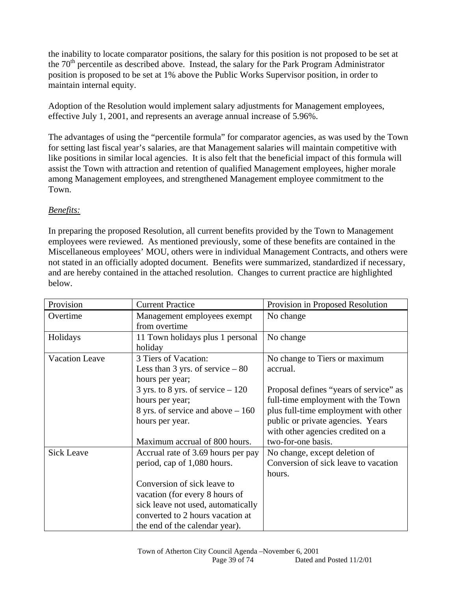the inability to locate comparator positions, the salary for this position is not proposed to be set at the  $70<sup>th</sup>$  percentile as described above. Instead, the salary for the Park Program Administrator position is proposed to be set at 1% above the Public Works Supervisor position, in order to maintain internal equity.

Adoption of the Resolution would implement salary adjustments for Management employees, effective July 1, 2001, and represents an average annual increase of 5.96%.

The advantages of using the "percentile formula" for comparator agencies, as was used by the Town for setting last fiscal year's salaries, are that Management salaries will maintain competitive with like positions in similar local agencies. It is also felt that the beneficial impact of this formula will assist the Town with attraction and retention of qualified Management employees, higher morale among Management employees, and strengthened Management employee commitment to the Town.

# *Benefits:*

In preparing the proposed Resolution, all current benefits provided by the Town to Management employees were reviewed. As mentioned previously, some of these benefits are contained in the Miscellaneous employees' MOU, others were in individual Management Contracts, and others were not stated in an officially adopted document. Benefits were summarized, standardized if necessary, and are hereby contained in the attached resolution. Changes to current practice are highlighted below.

| Provision         | <b>Current Practice</b>                                  | Provision in Proposed Resolution       |
|-------------------|----------------------------------------------------------|----------------------------------------|
| Overtime          | Management employees exempt                              | No change                              |
|                   | from overtime                                            |                                        |
| Holidays          | 11 Town holidays plus 1 personal                         | No change                              |
|                   | holiday                                                  |                                        |
| Vacation Leave    | 3 Tiers of Vacation:                                     | No change to Tiers or maximum          |
|                   | Less than 3 yrs. of service $-80$                        | accrual.                               |
|                   | hours per year;                                          |                                        |
|                   | $3 \text{ yrs}$ . to $8 \text{ yrs}$ . of service $-120$ | Proposal defines "years of service" as |
|                   | hours per year;                                          | full-time employment with the Town     |
|                   | 8 yrs. of service and above $-160$                       | plus full-time employment with other   |
|                   | hours per year.                                          | public or private agencies. Years      |
|                   |                                                          | with other agencies credited on a      |
|                   | Maximum accrual of 800 hours.                            | two-for-one basis.                     |
| <b>Sick Leave</b> | Accrual rate of 3.69 hours per pay                       | No change, except deletion of          |
|                   | period, cap of 1,080 hours.                              | Conversion of sick leave to vacation   |
|                   |                                                          | hours.                                 |
|                   | Conversion of sick leave to                              |                                        |
|                   | vacation (for every 8 hours of                           |                                        |
|                   | sick leave not used, automatically                       |                                        |
|                   | converted to 2 hours vacation at                         |                                        |
|                   | the end of the calendar year).                           |                                        |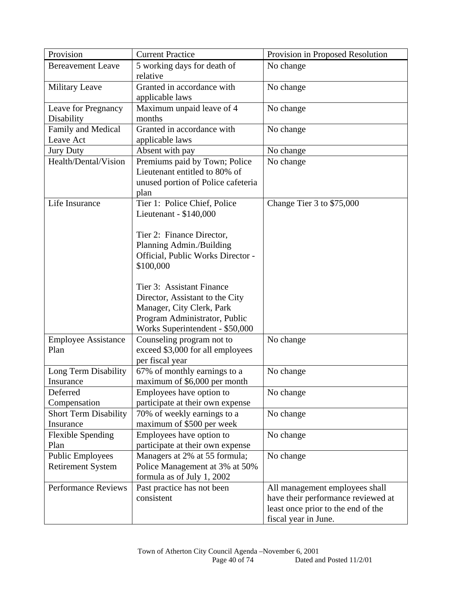| Provision                    | <b>Current Practice</b>            | Provision in Proposed Resolution   |
|------------------------------|------------------------------------|------------------------------------|
| <b>Bereavement Leave</b>     | 5 working days for death of        | No change                          |
|                              | relative                           |                                    |
| Military Leave               | Granted in accordance with         | No change                          |
|                              | applicable laws                    |                                    |
| Leave for Pregnancy          | Maximum unpaid leave of 4          | No change                          |
| Disability                   | months                             |                                    |
| Family and Medical           | Granted in accordance with         | No change                          |
| Leave Act                    | applicable laws                    |                                    |
| <b>Jury Duty</b>             | Absent with pay                    | No change                          |
| Health/Dental/Vision         | Premiums paid by Town; Police      | No change                          |
|                              | Lieutenant entitled to 80% of      |                                    |
|                              | unused portion of Police cafeteria |                                    |
|                              | plan                               |                                    |
| Life Insurance               | Tier 1: Police Chief, Police       | Change Tier 3 to \$75,000          |
|                              | Lieutenant - \$140,000             |                                    |
|                              |                                    |                                    |
|                              | Tier 2: Finance Director,          |                                    |
|                              | Planning Admin./Building           |                                    |
|                              | Official, Public Works Director -  |                                    |
|                              | \$100,000                          |                                    |
|                              |                                    |                                    |
|                              | Tier 3: Assistant Finance          |                                    |
|                              | Director, Assistant to the City    |                                    |
|                              | Manager, City Clerk, Park          |                                    |
|                              | Program Administrator, Public      |                                    |
|                              | Works Superintendent - \$50,000    |                                    |
| <b>Employee Assistance</b>   | Counseling program not to          | No change                          |
| Plan                         | exceed \$3,000 for all employees   |                                    |
|                              | per fiscal year                    |                                    |
| Long Term Disability         | 67% of monthly earnings to a       | No change                          |
| Insurance                    | maximum of \$6,000 per month       |                                    |
| Deferred                     | Employees have option to           | No change                          |
| Compensation                 | participate at their own expense   |                                    |
| <b>Short Term Disability</b> | 70% of weekly earnings to a        | No change                          |
| Insurance                    | maximum of \$500 per week          |                                    |
| <b>Flexible Spending</b>     | Employees have option to           | No change                          |
| Plan                         | participate at their own expense   |                                    |
| <b>Public Employees</b>      | Managers at 2% at 55 formula;      | No change                          |
| <b>Retirement System</b>     | Police Management at 3% at 50%     |                                    |
|                              | formula as of July 1, 2002         |                                    |
| <b>Performance Reviews</b>   | Past practice has not been         | All management employees shall     |
|                              | consistent                         | have their performance reviewed at |
|                              |                                    | least once prior to the end of the |
|                              |                                    | fiscal year in June.               |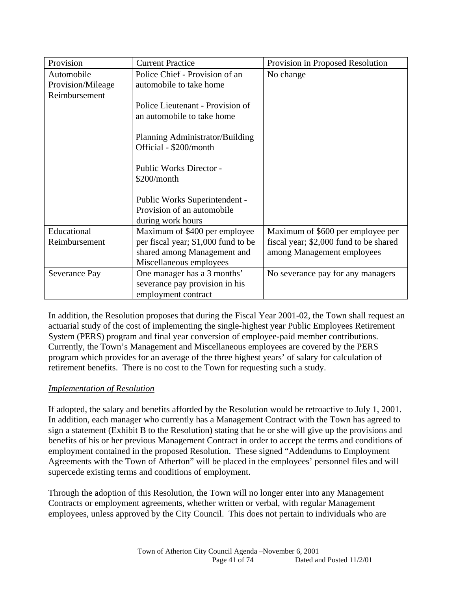| Provision                                        | <b>Current Practice</b>                                                                                                        | Provision in Proposed Resolution                                                                          |
|--------------------------------------------------|--------------------------------------------------------------------------------------------------------------------------------|-----------------------------------------------------------------------------------------------------------|
| Automobile<br>Provision/Mileage<br>Reimbursement | Police Chief - Provision of an<br>automobile to take home                                                                      | No change                                                                                                 |
|                                                  | Police Lieutenant - Provision of<br>an automobile to take home                                                                 |                                                                                                           |
|                                                  | Planning Administrator/Building<br>Official - \$200/month                                                                      |                                                                                                           |
|                                                  | <b>Public Works Director -</b><br>\$200/month                                                                                  |                                                                                                           |
|                                                  | Public Works Superintendent -<br>Provision of an automobile<br>during work hours                                               |                                                                                                           |
| Educational<br>Reimbursement                     | Maximum of \$400 per employee<br>per fiscal year; \$1,000 fund to be<br>shared among Management and<br>Miscellaneous employees | Maximum of \$600 per employee per<br>fiscal year; \$2,000 fund to be shared<br>among Management employees |
| Severance Pay                                    | One manager has a 3 months'<br>severance pay provision in his<br>employment contract                                           | No severance pay for any managers                                                                         |

In addition, the Resolution proposes that during the Fiscal Year 2001-02, the Town shall request an actuarial study of the cost of implementing the single-highest year Public Employees Retirement System (PERS) program and final year conversion of employee-paid member contributions. Currently, the Town's Management and Miscellaneous employees are covered by the PERS program which provides for an average of the three highest years' of salary for calculation of retirement benefits. There is no cost to the Town for requesting such a study.

# *Implementation of Resolution*

If adopted, the salary and benefits afforded by the Resolution would be retroactive to July 1, 2001. In addition, each manager who currently has a Management Contract with the Town has agreed to sign a statement (Exhibit B to the Resolution) stating that he or she will give up the provisions and benefits of his or her previous Management Contract in order to accept the terms and conditions of employment contained in the proposed Resolution. These signed "Addendums to Employment Agreements with the Town of Atherton" will be placed in the employees' personnel files and will supercede existing terms and conditions of employment.

Through the adoption of this Resolution, the Town will no longer enter into any Management Contracts or employment agreements, whether written or verbal, with regular Management employees, unless approved by the City Council. This does not pertain to individuals who are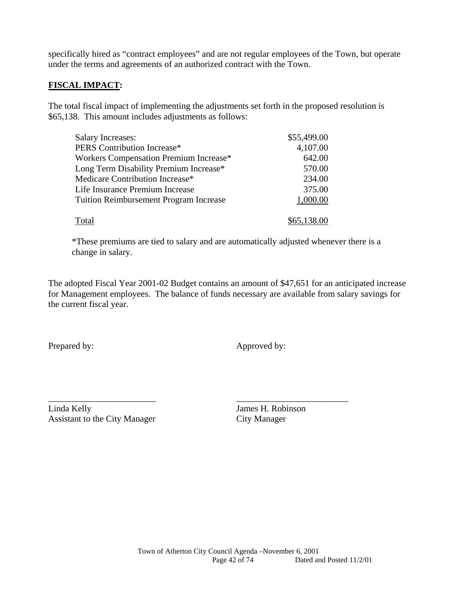specifically hired as "contract employees" and are not regular employees of the Town, but operate under the terms and agreements of an authorized contract with the Town.

## **FISCAL IMPACT:**

The total fiscal impact of implementing the adjustments set forth in the proposed resolution is \$65,138. This amount includes adjustments as follows:

| <b>Salary Increases:</b>                      | \$55,499.00 |
|-----------------------------------------------|-------------|
| PERS Contribution Increase*                   | 4,107.00    |
| Workers Compensation Premium Increase*        | 642.00      |
| Long Term Disability Premium Increase*        | 570.00      |
| Medicare Contribution Increase*               | 234.00      |
| Life Insurance Premium Increase               | 375.00      |
| <b>Tuition Reimbursement Program Increase</b> | 1,000.00    |
|                                               |             |
| Total                                         | \$65,138.00 |

\_\_\_\_\_\_\_\_\_\_\_\_\_\_\_\_\_\_\_\_\_\_\_\_ \_\_\_\_\_\_\_\_\_\_\_\_\_\_\_\_\_\_\_\_\_\_\_\_\_

\*These premiums are tied to salary and are automatically adjusted whenever there is a change in salary.

The adopted Fiscal Year 2001-02 Budget contains an amount of \$47,651 for an anticipated increase for Management employees. The balance of funds necessary are available from salary savings for the current fiscal year.

Prepared by: Approved by:

Linda Kelly James H. Robinson Assistant to the City Manager City Manager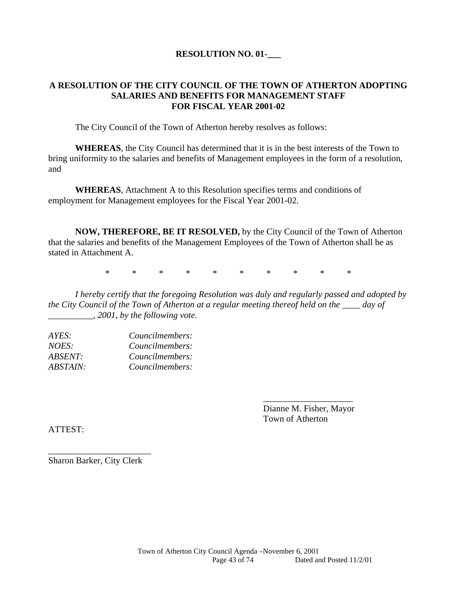#### **RESOLUTION NO. 01-\_\_\_**

#### **A RESOLUTION OF THE CITY COUNCIL OF THE TOWN OF ATHERTON ADOPTING SALARIES AND BENEFITS FOR MANAGEMENT STAFF FOR FISCAL YEAR 2001-02**

The City Council of the Town of Atherton hereby resolves as follows:

**WHEREAS**, the City Council has determined that it is in the best interests of the Town to bring uniformity to the salaries and benefits of Management employees in the form of a resolution, and

**WHEREAS**, Attachment A to this Resolution specifies terms and conditions of employment for Management employees for the Fiscal Year 2001-02.

**NOW, THEREFORE, BE IT RESOLVED,** by the City Council of the Town of Atherton that the salaries and benefits of the Management Employees of the Town of Atherton shall be as stated in Attachment A.

\* \* \* \* \* \* \* \* \* \*

*I hereby certify that the foregoing Resolution was duly and regularly passed and adopted by the City Council of the Town of Atherton at a regular meeting thereof held on the \_\_\_\_ day of \_\_\_\_\_\_\_\_\_\_, 2001, by the following vote.* 

 $\overline{\phantom{a}}$  , which is a set of the contract of the contract of the contract of the contract of the contract of the contract of the contract of the contract of the contract of the contract of the contract of the contract

| Councilmembers: |
|-----------------|
| Councilmembers: |
| Councilmembers: |
| Councilmembers: |
|                 |

 Dianne M. Fisher, Mayor Town of Atherton

ATTEST:

Sharon Barker, City Clerk

\_\_\_\_\_\_\_\_\_\_\_\_\_\_\_\_\_\_\_\_\_\_\_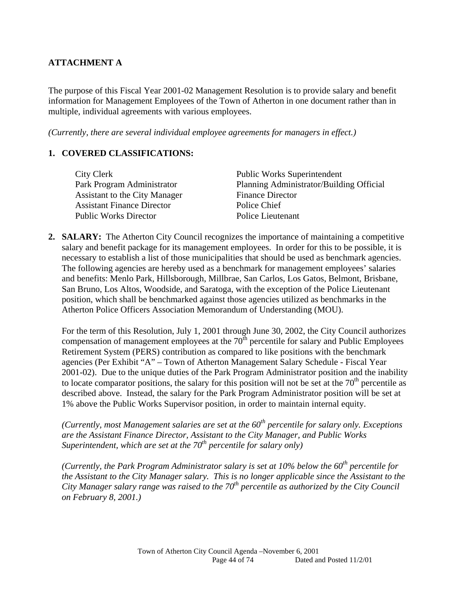# **ATTACHMENT A**

The purpose of this Fiscal Year 2001-02 Management Resolution is to provide salary and benefit information for Management Employees of the Town of Atherton in one document rather than in multiple, individual agreements with various employees.

*(Currently, there are several individual employee agreements for managers in effect.)* 

#### **1. COVERED CLASSIFICATIONS:**

| <b>Public Works Superintendent</b>       |
|------------------------------------------|
| Planning Administrator/Building Official |
| <b>Finance Director</b>                  |
| Police Chief                             |
| Police Lieutenant                        |
|                                          |

2. **SALARY:** The Atherton City Council recognizes the importance of maintaining a competitive salary and benefit package for its management employees. In order for this to be possible, it is necessary to establish a list of those municipalities that should be used as benchmark agencies. The following agencies are hereby used as a benchmark for management employees' salaries and benefits: Menlo Park, Hillsborough, Millbrae, San Carlos, Los Gatos, Belmont, Brisbane, San Bruno, Los Altos, Woodside, and Saratoga, with the exception of the Police Lieutenant position, which shall be benchmarked against those agencies utilized as benchmarks in the Atherton Police Officers Association Memorandum of Understanding (MOU).

For the term of this Resolution, July 1, 2001 through June 30, 2002, the City Council authorizes compensation of management employees at the  $70<sup>th</sup>$  percentile for salary and Public Employees Retirement System (PERS) contribution as compared to like positions with the benchmark agencies (Per Exhibit "A" – Town of Atherton Management Salary Schedule - Fiscal Year 2001-02). Due to the unique duties of the Park Program Administrator position and the inability to locate comparator positions, the salary for this position will not be set at the  $70<sup>th</sup>$  percentile as described above. Instead, the salary for the Park Program Administrator position will be set at 1% above the Public Works Supervisor position, in order to maintain internal equity.

*(Currently, most Management salaries are set at the*  $60<sup>th</sup>$  *percentile for salary only. Exceptions are the Assistant Finance Director, Assistant to the City Manager, and Public Works Superintendent, which are set at the 70<sup>th</sup> percentile for salary only)* 

*(Currently, the Park Program Administrator salary is set at 10% below the 60th percentile for the Assistant to the City Manager salary. This is no longer applicable since the Assistant to the City Manager salary range was raised to the 70th percentile as authorized by the City Council on February 8, 2001.)*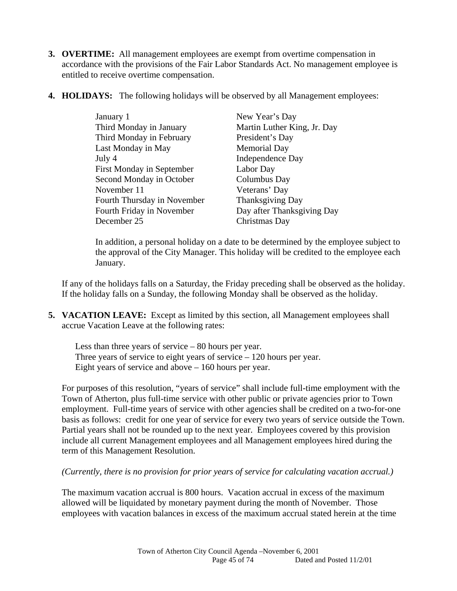- **3. OVERTIME:** All management employees are exempt from overtime compensation in accordance with the provisions of the Fair Labor Standards Act. No management employee is entitled to receive overtime compensation.
- **4. HOLIDAYS:** The following holidays will be observed by all Management employees:

| January 1                   | New Year's Day              |
|-----------------------------|-----------------------------|
| Third Monday in January     | Martin Luther King, Jr. Day |
| Third Monday in February    | President's Day             |
| Last Monday in May          | <b>Memorial Day</b>         |
| July 4                      | Independence Day            |
| First Monday in September   | Labor Day                   |
| Second Monday in October    | Columbus Day                |
| November 11                 | Veterans' Day               |
| Fourth Thursday in November | Thanksgiving Day            |
| Fourth Friday in November   | Day after Thanksgiving Day  |
| December 25                 | Christmas Day               |

In addition, a personal holiday on a date to be determined by the employee subject to the approval of the City Manager. This holiday will be credited to the employee each January.

If any of the holidays falls on a Saturday, the Friday preceding shall be observed as the holiday. If the holiday falls on a Sunday, the following Monday shall be observed as the holiday.

**5. VACATION LEAVE:** Except as limited by this section, all Management employees shall accrue Vacation Leave at the following rates:

 Less than three years of service – 80 hours per year. Three years of service to eight years of service – 120 hours per year. Eight years of service and above – 160 hours per year.

For purposes of this resolution, "years of service" shall include full-time employment with the Town of Atherton, plus full-time service with other public or private agencies prior to Town employment. Full-time years of service with other agencies shall be credited on a two-for-one basis as follows: credit for one year of service for every two years of service outside the Town. Partial years shall not be rounded up to the next year. Employees covered by this provision include all current Management employees and all Management employees hired during the term of this Management Resolution.

*(Currently, there is no provision for prior years of service for calculating vacation accrual.)* 

The maximum vacation accrual is 800 hours. Vacation accrual in excess of the maximum allowed will be liquidated by monetary payment during the month of November. Those employees with vacation balances in excess of the maximum accrual stated herein at the time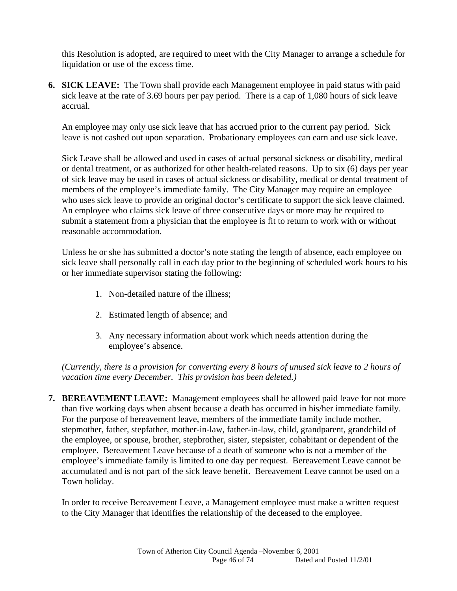this Resolution is adopted, are required to meet with the City Manager to arrange a schedule for liquidation or use of the excess time.

**6. SICK LEAVE:** The Town shall provide each Management employee in paid status with paid sick leave at the rate of 3.69 hours per pay period. There is a cap of 1,080 hours of sick leave accrual.

An employee may only use sick leave that has accrued prior to the current pay period. Sick leave is not cashed out upon separation. Probationary employees can earn and use sick leave.

Sick Leave shall be allowed and used in cases of actual personal sickness or disability, medical or dental treatment, or as authorized for other health-related reasons. Up to six (6) days per year of sick leave may be used in cases of actual sickness or disability, medical or dental treatment of members of the employee's immediate family. The City Manager may require an employee who uses sick leave to provide an original doctor's certificate to support the sick leave claimed. An employee who claims sick leave of three consecutive days or more may be required to submit a statement from a physician that the employee is fit to return to work with or without reasonable accommodation.

Unless he or she has submitted a doctor's note stating the length of absence, each employee on sick leave shall personally call in each day prior to the beginning of scheduled work hours to his or her immediate supervisor stating the following:

- 1. Non-detailed nature of the illness;
- 2. Estimated length of absence; and
- 3. Any necessary information about work which needs attention during the employee's absence.

*(Currently, there is a provision for converting every 8 hours of unused sick leave to 2 hours of vacation time every December. This provision has been deleted.)* 

**7. BEREAVEMENT LEAVE:** Management employees shall be allowed paid leave for not more than five working days when absent because a death has occurred in his/her immediate family. For the purpose of bereavement leave, members of the immediate family include mother, stepmother, father, stepfather, mother-in-law, father-in-law, child, grandparent, grandchild of the employee, or spouse, brother, stepbrother, sister, stepsister, cohabitant or dependent of the employee. Bereavement Leave because of a death of someone who is not a member of the employee's immediate family is limited to one day per request. Bereavement Leave cannot be accumulated and is not part of the sick leave benefit. Bereavement Leave cannot be used on a Town holiday.

 In order to receive Bereavement Leave, a Management employee must make a written request to the City Manager that identifies the relationship of the deceased to the employee.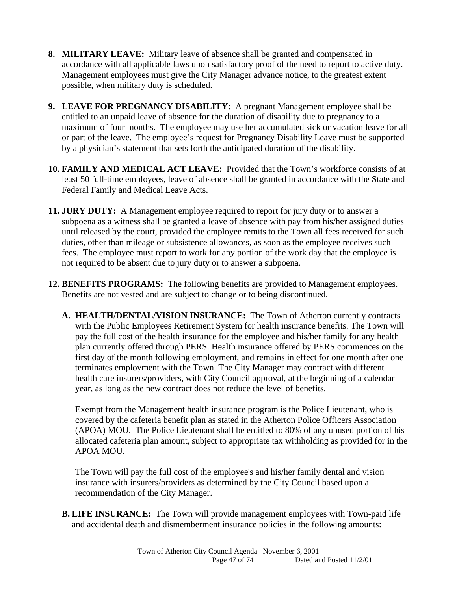- **8. MILITARY LEAVE:** Military leave of absence shall be granted and compensated in accordance with all applicable laws upon satisfactory proof of the need to report to active duty. Management employees must give the City Manager advance notice, to the greatest extent possible, when military duty is scheduled.
- **9. LEAVE FOR PREGNANCY DISABILITY:** A pregnant Management employee shall be entitled to an unpaid leave of absence for the duration of disability due to pregnancy to a maximum of four months. The employee may use her accumulated sick or vacation leave for all or part of the leave. The employee's request for Pregnancy Disability Leave must be supported by a physician's statement that sets forth the anticipated duration of the disability.
- **10. FAMILY AND MEDICAL ACT LEAVE:** Provided that the Town's workforce consists of at least 50 full-time employees, leave of absence shall be granted in accordance with the State and Federal Family and Medical Leave Acts.
- **11. JURY DUTY:** A Management employee required to report for jury duty or to answer a subpoena as a witness shall be granted a leave of absence with pay from his/her assigned duties until released by the court, provided the employee remits to the Town all fees received for such duties, other than mileage or subsistence allowances, as soon as the employee receives such fees. The employee must report to work for any portion of the work day that the employee is not required to be absent due to jury duty or to answer a subpoena.
- **12. BENEFITS PROGRAMS:** The following benefits are provided to Management employees. Benefits are not vested and are subject to change or to being discontinued.
	- **A. HEALTH/DENTAL/VISION INSURANCE:** The Town of Atherton currently contracts with the Public Employees Retirement System for health insurance benefits. The Town will pay the full cost of the health insurance for the employee and his/her family for any health plan currently offered through PERS. Health insurance offered by PERS commences on the first day of the month following employment, and remains in effect for one month after one terminates employment with the Town. The City Manager may contract with different health care insurers/providers, with City Council approval, at the beginning of a calendar year, as long as the new contract does not reduce the level of benefits.

 Exempt from the Management health insurance program is the Police Lieutenant, who is covered by the cafeteria benefit plan as stated in the Atherton Police Officers Association (APOA) MOU. The Police Lieutenant shall be entitled to 80% of any unused portion of his allocated cafeteria plan amount, subject to appropriate tax withholding as provided for in the APOA MOU.

 The Town will pay the full cost of the employee's and his/her family dental and vision insurance with insurers/providers as determined by the City Council based upon a recommendation of the City Manager.

**B. LIFE INSURANCE:** The Town will provide management employees with Town-paid life and accidental death and dismemberment insurance policies in the following amounts: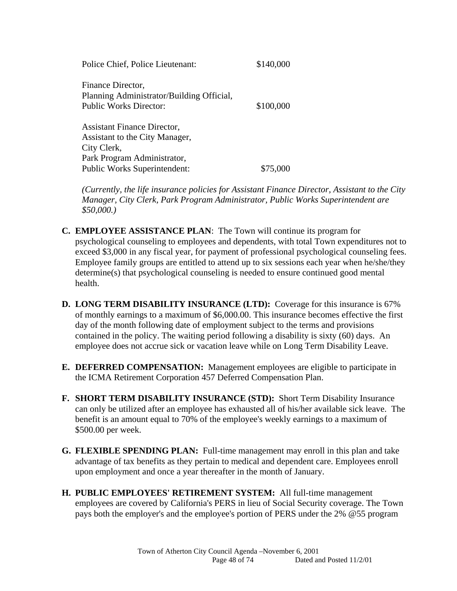| Police Chief, Police Lieutenant:                               | \$140,000 |
|----------------------------------------------------------------|-----------|
| Finance Director,<br>Planning Administrator/Building Official, |           |
| <b>Public Works Director:</b>                                  | \$100,000 |
| <b>Assistant Finance Director,</b>                             |           |
| Assistant to the City Manager,                                 |           |
| City Clerk,                                                    |           |
| Park Program Administrator,                                    |           |
| <b>Public Works Superintendent:</b>                            | \$75,000  |

*(Currently, the life insurance policies for Assistant Finance Director, Assistant to the City Manager, City Clerk, Park Program Administrator, Public Works Superintendent are \$50,000.)* 

- **C. EMPLOYEE ASSISTANCE PLAN**: The Town will continue its program for psychological counseling to employees and dependents, with total Town expenditures not to exceed \$3,000 in any fiscal year, for payment of professional psychological counseling fees. Employee family groups are entitled to attend up to six sessions each year when he/she/they determine(s) that psychological counseling is needed to ensure continued good mental health.
- **D. LONG TERM DISABILITY INSURANCE (LTD):** Coverage for this insurance is 67% of monthly earnings to a maximum of \$6,000.00. This insurance becomes effective the first day of the month following date of employment subject to the terms and provisions contained in the policy. The waiting period following a disability is sixty (60) days. An employee does not accrue sick or vacation leave while on Long Term Disability Leave.
- **E. DEFERRED COMPENSATION:** Management employees are eligible to participate in the ICMA Retirement Corporation 457 Deferred Compensation Plan.
- **F. SHORT TERM DISABILITY INSURANCE (STD):** Short Term Disability Insurance can only be utilized after an employee has exhausted all of his/her available sick leave. The benefit is an amount equal to 70% of the employee's weekly earnings to a maximum of \$500.00 per week.
- **G. FLEXIBLE SPENDING PLAN:** Full-time management may enroll in this plan and take advantage of tax benefits as they pertain to medical and dependent care. Employees enroll upon employment and once a year thereafter in the month of January.
- **H. PUBLIC EMPLOYEES' RETIREMENT SYSTEM:** All full-time management employees are covered by California's PERS in lieu of Social Security coverage. The Town pays both the employer's and the employee's portion of PERS under the 2% @55 program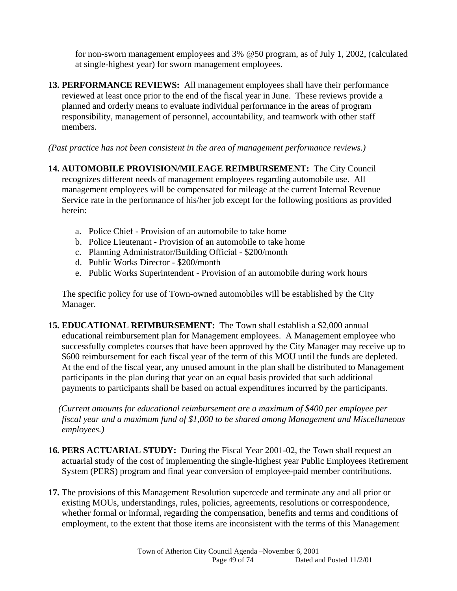for non-sworn management employees and 3% @50 program, as of July 1, 2002, (calculated at single-highest year) for sworn management employees.

**13. PERFORMANCE REVIEWS:** All management employees shall have their performance reviewed at least once prior to the end of the fiscal year in June. These reviews provide a planned and orderly means to evaluate individual performance in the areas of program responsibility, management of personnel, accountability, and teamwork with other staff members.

*(Past practice has not been consistent in the area of management performance reviews.)* 

- **14. AUTOMOBILE PROVISION/MILEAGE REIMBURSEMENT:** The City Council recognizes different needs of management employees regarding automobile use. All management employees will be compensated for mileage at the current Internal Revenue Service rate in the performance of his/her job except for the following positions as provided herein:
	- a. Police Chief Provision of an automobile to take home
	- b. Police Lieutenant Provision of an automobile to take home
	- c. Planning Administrator/Building Official \$200/month
	- d. Public Works Director \$200/month
	- e. Public Works Superintendent Provision of an automobile during work hours

The specific policy for use of Town-owned automobiles will be established by the City Manager.

**15. EDUCATIONAL REIMBURSEMENT:** The Town shall establish a \$2,000 annual educational reimbursement plan for Management employees. A Management employee who successfully completes courses that have been approved by the City Manager may receive up to \$600 reimbursement for each fiscal year of the term of this MOU until the funds are depleted. At the end of the fiscal year, any unused amount in the plan shall be distributed to Management participants in the plan during that year on an equal basis provided that such additional payments to participants shall be based on actual expenditures incurred by the participants.

*(Current amounts for educational reimbursement are a maximum of \$400 per employee per fiscal year and a maximum fund of \$1,000 to be shared among Management and Miscellaneous employees.)* 

- **16. PERS ACTUARIAL STUDY:** During the Fiscal Year 2001-02, the Town shall request an actuarial study of the cost of implementing the single-highest year Public Employees Retirement System (PERS) program and final year conversion of employee-paid member contributions.
- **17.** The provisions of this Management Resolution supercede and terminate any and all prior or existing MOUs, understandings, rules, policies, agreements, resolutions or correspondence, whether formal or informal, regarding the compensation, benefits and terms and conditions of employment, to the extent that those items are inconsistent with the terms of this Management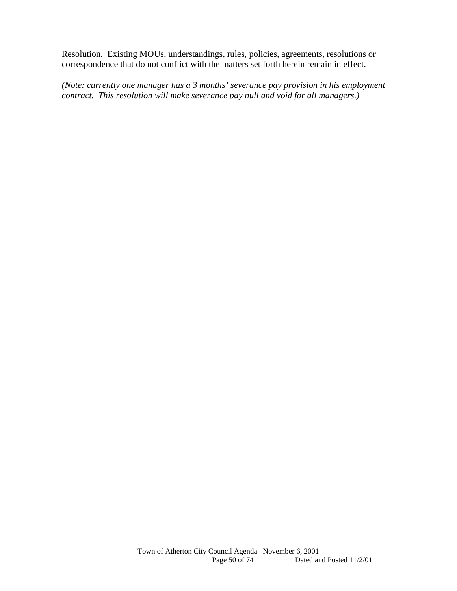Resolution. Existing MOUs, understandings, rules, policies, agreements, resolutions or correspondence that do not conflict with the matters set forth herein remain in effect.

*(Note: currently one manager has a 3 months' severance pay provision in his employment contract. This resolution will make severance pay null and void for all managers.)*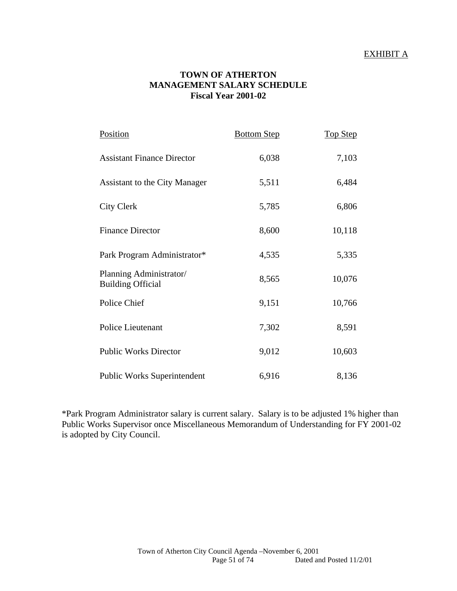#### EXHIBIT A

#### **TOWN OF ATHERTON MANAGEMENT SALARY SCHEDULE Fiscal Year 2001-02**

| Position                                            | <b>Bottom Step</b> | <b>Top Step</b> |
|-----------------------------------------------------|--------------------|-----------------|
| <b>Assistant Finance Director</b>                   | 6,038              | 7,103           |
| Assistant to the City Manager                       | 5,511              | 6,484           |
| <b>City Clerk</b>                                   | 5,785              | 6,806           |
| <b>Finance Director</b>                             | 8,600              | 10,118          |
| Park Program Administrator*                         | 4,535              | 5,335           |
| Planning Administrator/<br><b>Building Official</b> | 8,565              | 10,076          |
| Police Chief                                        | 9,151              | 10,766          |
| Police Lieutenant                                   | 7,302              | 8,591           |
| <b>Public Works Director</b>                        | 9,012              | 10,603          |
| <b>Public Works Superintendent</b>                  | 6,916              | 8,136           |

\*Park Program Administrator salary is current salary. Salary is to be adjusted 1% higher than Public Works Supervisor once Miscellaneous Memorandum of Understanding for FY 2001-02 is adopted by City Council.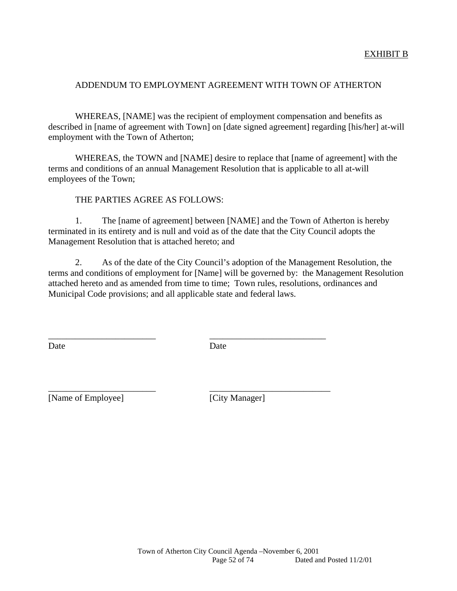#### ADDENDUM TO EMPLOYMENT AGREEMENT WITH TOWN OF ATHERTON

 WHEREAS, [NAME] was the recipient of employment compensation and benefits as described in [name of agreement with Town] on [date signed agreement] regarding [his/her] at-will employment with the Town of Atherton;

 WHEREAS, the TOWN and [NAME] desire to replace that [name of agreement] with the terms and conditions of an annual Management Resolution that is applicable to all at-will employees of the Town;

THE PARTIES AGREE AS FOLLOWS:

 1. The [name of agreement] between [NAME] and the Town of Atherton is hereby terminated in its entirety and is null and void as of the date that the City Council adopts the Management Resolution that is attached hereto; and

 2. As of the date of the City Council's adoption of the Management Resolution, the terms and conditions of employment for [Name] will be governed by: the Management Resolution attached hereto and as amended from time to time; Town rules, resolutions, ordinances and Municipal Code provisions; and all applicable state and federal laws.

Date Date Date

\_\_\_\_\_\_\_\_\_\_\_\_\_\_\_\_\_\_\_\_\_\_\_\_ \_\_\_\_\_\_\_\_\_\_\_\_\_\_\_\_\_\_\_\_\_\_\_\_\_\_

\_\_\_\_\_\_\_\_\_\_\_\_\_\_\_\_\_\_\_\_\_\_\_\_ \_\_\_\_\_\_\_\_\_\_\_\_\_\_\_\_\_\_\_\_\_\_\_\_\_\_\_

[Name of Employee] [City Manager]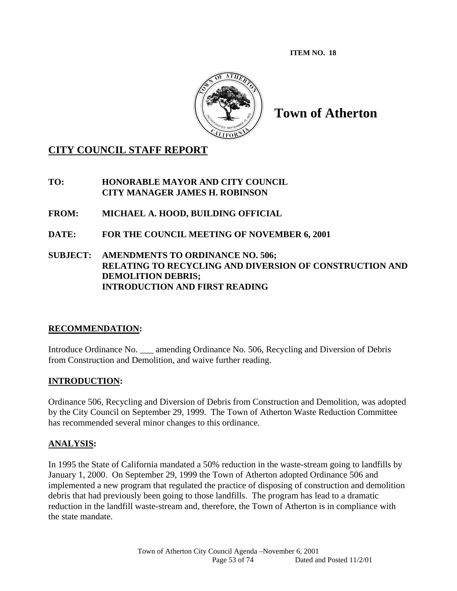**ITEM NO. 18** 



**Town of Atherton** 

# **CITY COUNCIL STAFF REPORT**

**TO: HONORABLE MAYOR AND CITY COUNCIL CITY MANAGER JAMES H. ROBINSON** 

**FROM: MICHAEL A. HOOD, BUILDING OFFICIAL** 

**DATE: FOR THE COUNCIL MEETING OF NOVEMBER 6, 2001** 

## **SUBJECT: AMENDMENTS TO ORDINANCE NO. 506; RELATING TO RECYCLING AND DIVERSION OF CONSTRUCTION AND DEMOLITION DEBRIS; INTRODUCTION AND FIRST READING**

## **RECOMMENDATION:**

Introduce Ordinance No. \_\_\_ amending Ordinance No. 506, Recycling and Diversion of Debris from Construction and Demolition, and waive further reading.

# **INTRODUCTION:**

Ordinance 506, Recycling and Diversion of Debris from Construction and Demolition, was adopted by the City Council on September 29, 1999. The Town of Atherton Waste Reduction Committee has recommended several minor changes to this ordinance.

## **ANALYSIS:**

In 1995 the State of California mandated a 50% reduction in the waste-stream going to landfills by January 1, 2000. On September 29, 1999 the Town of Atherton adopted Ordinance 506 and implemented a new program that regulated the practice of disposing of construction and demolition debris that had previously been going to those landfills. The program has lead to a dramatic reduction in the landfill waste-stream and, therefore, the Town of Atherton is in compliance with the state mandate.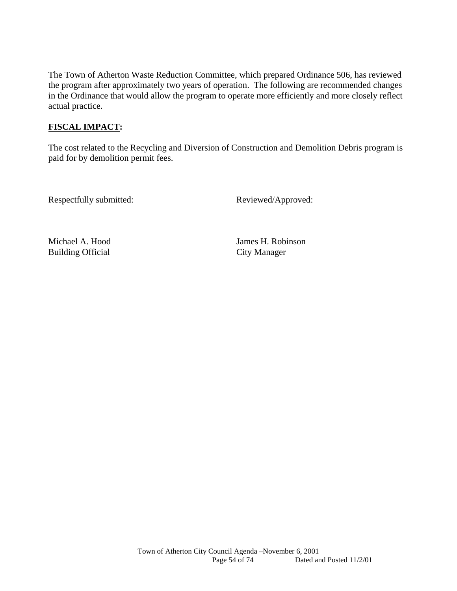The Town of Atherton Waste Reduction Committee, which prepared Ordinance 506, has reviewed the program after approximately two years of operation. The following are recommended changes in the Ordinance that would allow the program to operate more efficiently and more closely reflect actual practice.

# **FISCAL IMPACT:**

The cost related to the Recycling and Diversion of Construction and Demolition Debris program is paid for by demolition permit fees.

Respectfully submitted: Reviewed/Approved:

Building Official City Manager

Michael A. Hood James H. Robinson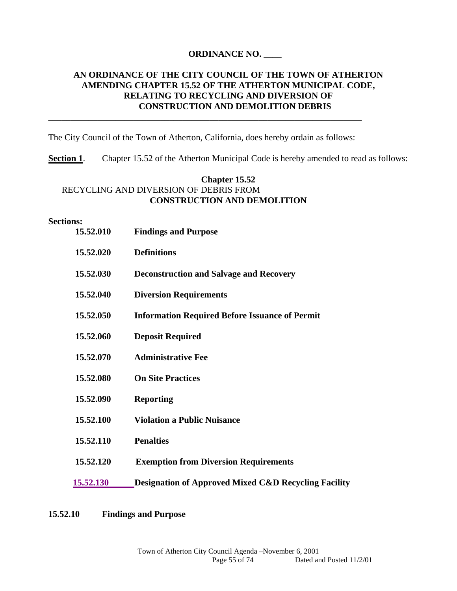#### **ORDINANCE NO. \_\_\_\_**

## **AN ORDINANCE OF THE CITY COUNCIL OF THE TOWN OF ATHERTON AMENDING CHAPTER 15.52 OF THE ATHERTON MUNICIPAL CODE, RELATING TO RECYCLING AND DIVERSION OF CONSTRUCTION AND DEMOLITION DEBRIS**

The City Council of the Town of Atherton, California, does hereby ordain as follows:

**\_\_\_\_\_\_\_\_\_\_\_\_\_\_\_\_\_\_\_\_\_\_\_\_\_\_\_\_\_\_\_\_\_\_\_\_\_\_\_\_\_\_\_\_\_\_\_\_\_\_\_\_\_\_\_\_\_\_\_\_\_\_\_\_\_\_\_\_\_\_** 

**Section 1.** Chapter 15.52 of the Atherton Municipal Code is hereby amended to read as follows:

## **Chapter 15.52** RECYCLING AND DIVERSION OF DEBRIS FROM **CONSTRUCTION AND DEMOLITION**

#### **Sections:**

| 15.52.010        | <b>Findings and Purpose</b>                                     |
|------------------|-----------------------------------------------------------------|
| 15.52.020        | <b>Definitions</b>                                              |
| 15.52.030        | <b>Deconstruction and Salvage and Recovery</b>                  |
| 15.52.040        | <b>Diversion Requirements</b>                                   |
| 15.52.050        | <b>Information Required Before Issuance of Permit</b>           |
| 15.52.060        | <b>Deposit Required</b>                                         |
| 15.52.070        | <b>Administrative Fee</b>                                       |
| 15.52.080        | <b>On Site Practices</b>                                        |
| 15.52.090        | <b>Reporting</b>                                                |
| 15.52.100        | <b>Violation a Public Nuisance</b>                              |
| 15.52.110        | <b>Penalties</b>                                                |
| 15.52.120        | <b>Exemption from Diversion Requirements</b>                    |
| <b>15.52.130</b> | <b>Designation of Approved Mixed C&amp;D Recycling Facility</b> |

**15.52.10 Findings and Purpose**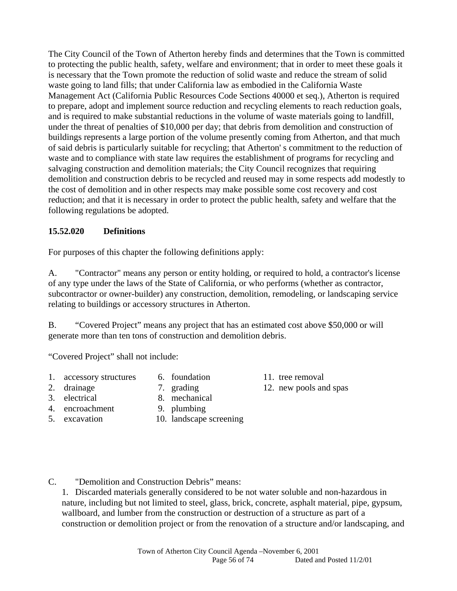The City Council of the Town of Atherton hereby finds and determines that the Town is committed to protecting the public health, safety, welfare and environment; that in order to meet these goals it is necessary that the Town promote the reduction of solid waste and reduce the stream of solid waste going to land fills; that under California law as embodied in the California Waste Management Act (California Public Resources Code Sections 40000 et seq.), Atherton is required to prepare, adopt and implement source reduction and recycling elements to reach reduction goals, and is required to make substantial reductions in the volume of waste materials going to landfill, under the threat of penalties of \$10,000 per day; that debris from demolition and construction of buildings represents a large portion of the volume presently coming from Atherton, and that much of said debris is particularly suitable for recycling; that Atherton' s commitment to the reduction of waste and to compliance with state law requires the establishment of programs for recycling and salvaging construction and demolition materials; the City Council recognizes that requiring demolition and construction debris to be recycled and reused may in some respects add modestly to the cost of demolition and in other respects may make possible some cost recovery and cost reduction; and that it is necessary in order to protect the public health, safety and welfare that the following regulations be adopted.

## **15.52.020 Definitions**

For purposes of this chapter the following definitions apply:

A. "Contractor" means any person or entity holding, or required to hold, a contractor's license of any type under the laws of the State of California, or who performs (whether as contractor, subcontractor or owner-builder) any construction, demolition, remodeling, or landscaping service relating to buildings or accessory structures in Atherton.

B. "Covered Project" means any project that has an estimated cost above \$50,000 or will generate more than ten tons of construction and demolition debris.

"Covered Project" shall not include:

- 1. accessory structures 6. foundation 11. tree removal
- 2. drainage 2. grading 12. new pools and spas
- 3. electrical 8. mechanical
- 4. encroachment 9. plumbing
	-
	-
- 
- 5. excavation 10. landscape screening

C. "Demolition and Construction Debris" means:

1. Discarded materials generally considered to be not water soluble and non-hazardous in nature, including but not limited to steel, glass, brick, concrete, asphalt material, pipe, gypsum, wallboard, and lumber from the construction or destruction of a structure as part of a construction or demolition project or from the renovation of a structure and/or landscaping, and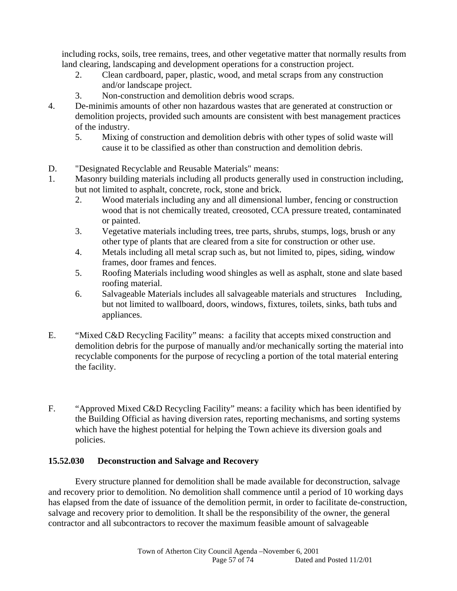including rocks, soils, tree remains, trees, and other vegetative matter that normally results from land clearing, landscaping and development operations for a construction project.

- 2. Clean cardboard, paper, plastic, wood, and metal scraps from any construction and/or landscape project.
- 3. Non-construction and demolition debris wood scraps.
- 4. De-minimis amounts of other non hazardous wastes that are generated at construction or demolition projects, provided such amounts are consistent with best management practices of the industry.
	- 5. Mixing of construction and demolition debris with other types of solid waste will cause it to be classified as other than construction and demolition debris.
- D. "Designated Recyclable and Reusable Materials" means:
- 1. Masonry building materials including all products generally used in construction including, but not limited to asphalt, concrete, rock, stone and brick.
	- 2. Wood materials including any and all dimensional lumber, fencing or construction wood that is not chemically treated, creosoted, CCA pressure treated, contaminated or painted.
	- 3. Vegetative materials including trees, tree parts, shrubs, stumps, logs, brush or any other type of plants that are cleared from a site for construction or other use.
	- 4. Metals including all metal scrap such as, but not limited to, pipes, siding, window frames, door frames and fences.
	- 5. Roofing Materials including wood shingles as well as asphalt, stone and slate based roofing material.
	- 6. Salvageable Materials includes all salvageable materials and structures Including, but not limited to wallboard, doors, windows, fixtures, toilets, sinks, bath tubs and appliances.
- E. "Mixed C&D Recycling Facility" means: a facility that accepts mixed construction and demolition debris for the purpose of manually and/or mechanically sorting the material into recyclable components for the purpose of recycling a portion of the total material entering the facility.
- F. "Approved Mixed C&D Recycling Facility" means: a facility which has been identified by the Building Official as having diversion rates, reporting mechanisms, and sorting systems which have the highest potential for helping the Town achieve its diversion goals and policies.

## **15.52.030 Deconstruction and Salvage and Recovery**

 Every structure planned for demolition shall be made available for deconstruction, salvage and recovery prior to demolition. No demolition shall commence until a period of 10 working days has elapsed from the date of issuance of the demolition permit, in order to facilitate de-construction, salvage and recovery prior to demolition. It shall be the responsibility of the owner, the general contractor and all subcontractors to recover the maximum feasible amount of salvageable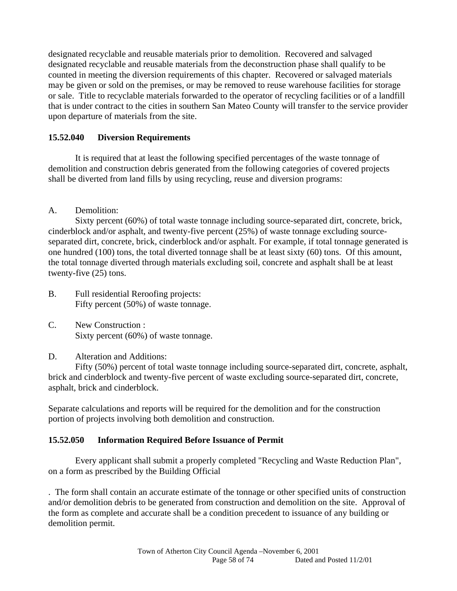designated recyclable and reusable materials prior to demolition. Recovered and salvaged designated recyclable and reusable materials from the deconstruction phase shall qualify to be counted in meeting the diversion requirements of this chapter. Recovered or salvaged materials may be given or sold on the premises, or may be removed to reuse warehouse facilities for storage or sale. Title to recyclable materials forwarded to the operator of recycling facilities or of a landfill that is under contract to the cities in southern San Mateo County will transfer to the service provider upon departure of materials from the site.

# **15.52.040 Diversion Requirements**

 It is required that at least the following specified percentages of the waste tonnage of demolition and construction debris generated from the following categories of covered projects shall be diverted from land fills by using recycling, reuse and diversion programs:

# A. Demolition:

 Sixty percent (60%) of total waste tonnage including source-separated dirt, concrete, brick, cinderblock and/or asphalt, and twenty-five percent (25%) of waste tonnage excluding sourceseparated dirt, concrete, brick, cinderblock and/or asphalt. For example, if total tonnage generated is one hundred (100) tons, the total diverted tonnage shall be at least sixty (60) tons. Of this amount, the total tonnage diverted through materials excluding soil, concrete and asphalt shall be at least twenty-five (25) tons.

- B. Full residential Reroofing projects: Fifty percent (50%) of waste tonnage.
- C. New Construction : Sixty percent (60%) of waste tonnage.

## D. Alteration and Additions:

 Fifty (50%) percent of total waste tonnage including source-separated dirt, concrete, asphalt, brick and cinderblock and twenty-five percent of waste excluding source-separated dirt, concrete, asphalt, brick and cinderblock.

Separate calculations and reports will be required for the demolition and for the construction portion of projects involving both demolition and construction.

# **15.52.050 Information Required Before Issuance of Permit**

 Every applicant shall submit a properly completed "Recycling and Waste Reduction Plan", on a form as prescribed by the Building Official

. The form shall contain an accurate estimate of the tonnage or other specified units of construction and/or demolition debris to be generated from construction and demolition on the site. Approval of the form as complete and accurate shall be a condition precedent to issuance of any building or demolition permit.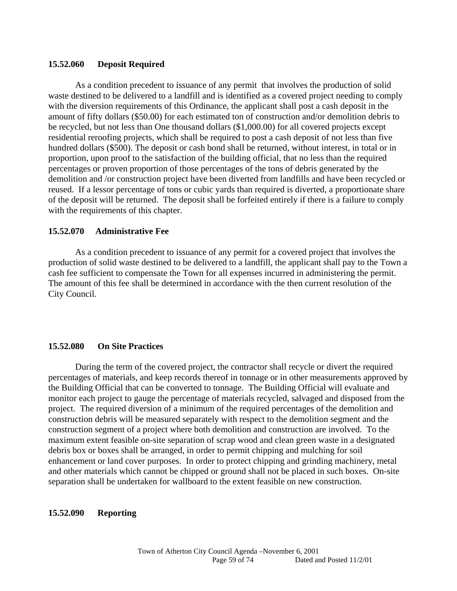#### **15.52.060 Deposit Required**

 As a condition precedent to issuance of any permit that involves the production of solid waste destined to be delivered to a landfill and is identified as a covered project needing to comply with the diversion requirements of this Ordinance, the applicant shall post a cash deposit in the amount of fifty dollars (\$50.00) for each estimated ton of construction and/or demolition debris to be recycled, but not less than One thousand dollars (\$1,000.00) for all covered projects except residential reroofing projects, which shall be required to post a cash deposit of not less than five hundred dollars (\$500). The deposit or cash bond shall be returned, without interest, in total or in proportion, upon proof to the satisfaction of the building official, that no less than the required percentages or proven proportion of those percentages of the tons of debris generated by the demolition and /or construction project have been diverted from landfills and have been recycled or reused. If a lessor percentage of tons or cubic yards than required is diverted, a proportionate share of the deposit will be returned. The deposit shall be forfeited entirely if there is a failure to comply with the requirements of this chapter.

#### **15.52.070 Administrative Fee**

 As a condition precedent to issuance of any permit for a covered project that involves the production of solid waste destined to be delivered to a landfill, the applicant shall pay to the Town a cash fee sufficient to compensate the Town for all expenses incurred in administering the permit. The amount of this fee shall be determined in accordance with the then current resolution of the City Council.

#### **15.52.080 On Site Practices**

 During the term of the covered project, the contractor shall recycle or divert the required percentages of materials, and keep records thereof in tonnage or in other measurements approved by the Building Official that can be converted to tonnage. The Building Official will evaluate and monitor each project to gauge the percentage of materials recycled, salvaged and disposed from the project. The required diversion of a minimum of the required percentages of the demolition and construction debris will be measured separately with respect to the demolition segment and the construction segment of a project where both demolition and construction are involved. To the maximum extent feasible on-site separation of scrap wood and clean green waste in a designated debris box or boxes shall be arranged, in order to permit chipping and mulching for soil enhancement or land cover purposes. In order to protect chipping and grinding machinery, metal and other materials which cannot be chipped or ground shall not be placed in such boxes. On-site separation shall be undertaken for wallboard to the extent feasible on new construction.

#### **15.52.090 Reporting**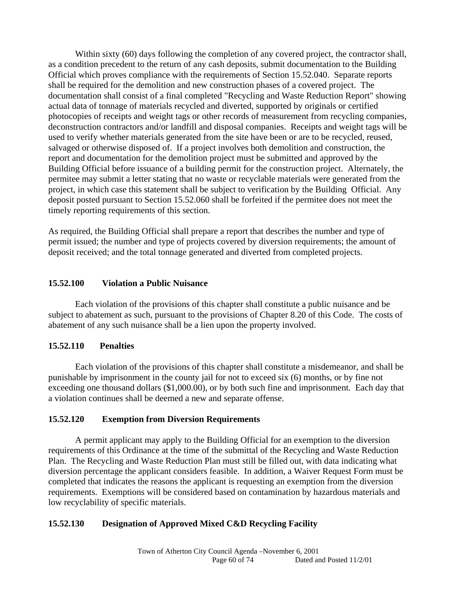Within sixty (60) days following the completion of any covered project, the contractor shall, as a condition precedent to the return of any cash deposits, submit documentation to the Building Official which proves compliance with the requirements of Section 15.52.040. Separate reports shall be required for the demolition and new construction phases of a covered project. The documentation shall consist of a final completed "Recycling and Waste Reduction Report" showing actual data of tonnage of materials recycled and diverted, supported by originals or certified photocopies of receipts and weight tags or other records of measurement from recycling companies, deconstruction contractors and/or landfill and disposal companies. Receipts and weight tags will be used to verify whether materials generated from the site have been or are to be recycled, reused, salvaged or otherwise disposed of. If a project involves both demolition and construction, the report and documentation for the demolition project must be submitted and approved by the Building Official before issuance of a building permit for the construction project. Alternately, the permitee may submit a letter stating that no waste or recyclable materials were generated from the project, in which case this statement shall be subject to verification by the Building Official. Any deposit posted pursuant to Section 15.52.060 shall be forfeited if the permitee does not meet the timely reporting requirements of this section.

As required, the Building Official shall prepare a report that describes the number and type of permit issued; the number and type of projects covered by diversion requirements; the amount of deposit received; and the total tonnage generated and diverted from completed projects.

#### **15.52.100 Violation a Public Nuisance**

 Each violation of the provisions of this chapter shall constitute a public nuisance and be subject to abatement as such, pursuant to the provisions of Chapter 8.20 of this Code. The costs of abatement of any such nuisance shall be a lien upon the property involved.

## **15.52.110 Penalties**

 Each violation of the provisions of this chapter shall constitute a misdemeanor, and shall be punishable by imprisonment in the county jail for not to exceed six (6) months, or by fine not exceeding one thousand dollars (\$1,000.00), or by both such fine and imprisonment. Each day that a violation continues shall be deemed a new and separate offense.

#### **15.52.120 Exemption from Diversion Requirements**

 A permit applicant may apply to the Building Official for an exemption to the diversion requirements of this Ordinance at the time of the submittal of the Recycling and Waste Reduction Plan. The Recycling and Waste Reduction Plan must still be filled out, with data indicating what diversion percentage the applicant considers feasible. In addition, a Waiver Request Form must be completed that indicates the reasons the applicant is requesting an exemption from the diversion requirements. Exemptions will be considered based on contamination by hazardous materials and low recyclability of specific materials.

## **15.52.130 Designation of Approved Mixed C&D Recycling Facility**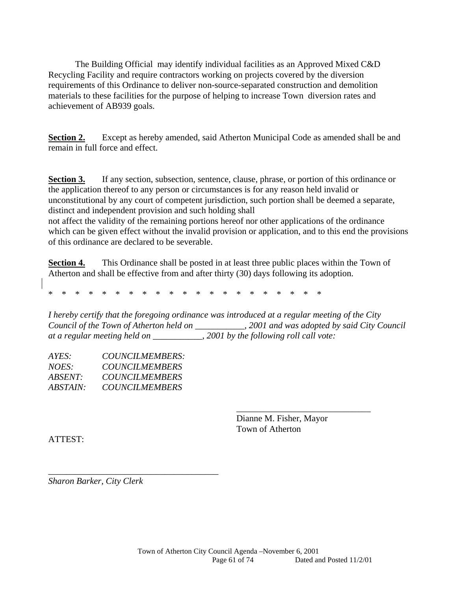The Building Official may identify individual facilities as an Approved Mixed C&D Recycling Facility and require contractors working on projects covered by the diversion requirements of this Ordinance to deliver non-source-separated construction and demolition materials to these facilities for the purpose of helping to increase Town diversion rates and achievement of AB939 goals.

**Section 2.** Except as hereby amended, said Atherton Municipal Code as amended shall be and remain in full force and effect.

**Section 3.** If any section, subsection, sentence, clause, phrase, or portion of this ordinance or the application thereof to any person or circumstances is for any reason held invalid or unconstitutional by any court of competent jurisdiction, such portion shall be deemed a separate, distinct and independent provision and such holding shall

not affect the validity of the remaining portions hereof nor other applications of the ordinance which can be given effect without the invalid provision or application, and to this end the provisions of this ordinance are declared to be severable.

**Section 4.** This Ordinance shall be posted in at least three public places within the Town of Atherton and shall be effective from and after thirty (30) days following its adoption.

\* \* \* \* \* \* \* \* \* \* \* \* \* \* \* \* \* \* \* \* \*

*I hereby certify that the foregoing ordinance was introduced at a regular meeting of the City Council of the Town of Atherton held on \_\_\_\_\_\_\_\_\_\_\_, 2001 and was adopted by said City Council at a regular meeting held on \_\_\_\_\_\_\_\_\_\_\_, 2001 by the following roll call vote:* 

 $\overline{\phantom{a}}$  , and the contract of the contract of the contract of the contract of the contract of the contract of the contract of the contract of the contract of the contract of the contract of the contract of the contrac

| AYES:    | COUNCILMEMBERS:       |
|----------|-----------------------|
| NOES:    | <b>COUNCILMEMBERS</b> |
| ABSENT:  | <b>COUNCILMEMBERS</b> |
| ABSTAIN: | <b>COUNCILMEMBERS</b> |

\_\_\_\_\_\_\_\_\_\_\_\_\_\_\_\_\_\_\_\_\_\_\_\_\_\_\_\_\_\_\_\_\_\_\_\_\_\_

 Dianne M. Fisher, Mayor Town of Atherton

ATTEST:

*Sharon Barker, City Clerk*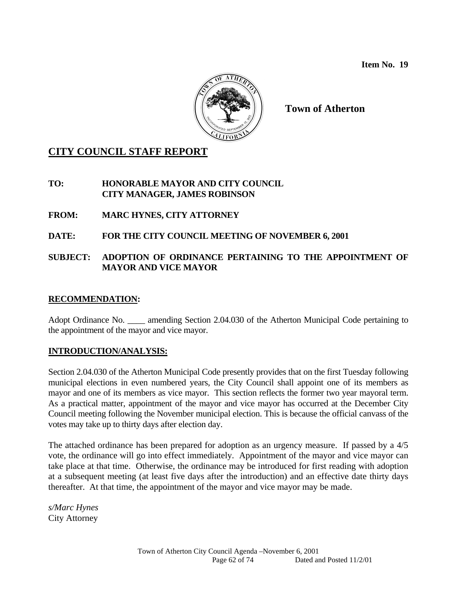**Item No. 19** 



**Town of Atherton** 

# **CITY COUNCIL STAFF REPORT**

**TO: HONORABLE MAYOR AND CITY COUNCIL CITY MANAGER, JAMES ROBINSON** 

**FROM: MARC HYNES, CITY ATTORNEY** 

# **DATE: FOR THE CITY COUNCIL MEETING OF NOVEMBER 6, 2001**

## **SUBJECT: ADOPTION OF ORDINANCE PERTAINING TO THE APPOINTMENT OF MAYOR AND VICE MAYOR**

#### **RECOMMENDATION:**

Adopt Ordinance No. \_\_\_\_ amending Section 2.04.030 of the Atherton Municipal Code pertaining to the appointment of the mayor and vice mayor.

## **INTRODUCTION/ANALYSIS:**

Section 2.04.030 of the Atherton Municipal Code presently provides that on the first Tuesday following municipal elections in even numbered years, the City Council shall appoint one of its members as mayor and one of its members as vice mayor. This section reflects the former two year mayoral term. As a practical matter, appointment of the mayor and vice mayor has occurred at the December City Council meeting following the November municipal election. This is because the official canvass of the votes may take up to thirty days after election day.

The attached ordinance has been prepared for adoption as an urgency measure. If passed by a 4/5 vote, the ordinance will go into effect immediately. Appointment of the mayor and vice mayor can take place at that time. Otherwise, the ordinance may be introduced for first reading with adoption at a subsequent meeting (at least five days after the introduction) and an effective date thirty days thereafter. At that time, the appointment of the mayor and vice mayor may be made.

*s/Marc Hynes*  City Attorney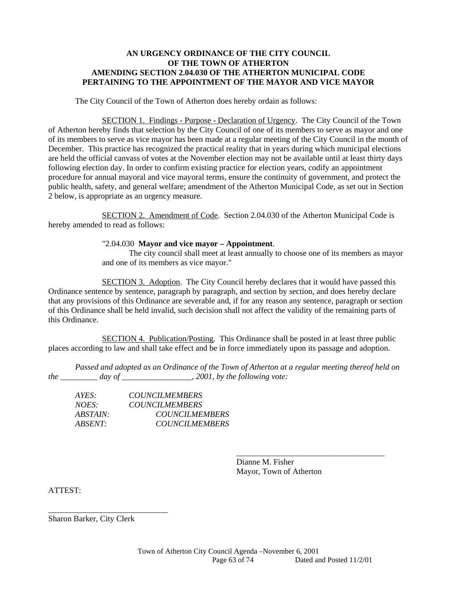#### **AN URGENCY ORDINANCE OF THE CITY COUNCIL OF THE TOWN OF ATHERTON AMENDING SECTION 2.04.030 OF THE ATHERTON MUNICIPAL CODE PERTAINING TO THE APPOINTMENT OF THE MAYOR AND VICE MAYOR**

The City Council of the Town of Atherton does hereby ordain as follows:

 SECTION 1. Findings - Purpose - Declaration of Urgency. The City Council of the Town of Atherton hereby finds that selection by the City Council of one of its members to serve as mayor and one of its members to serve as vice mayor has been made at a regular meeting of the City Council in the month of December. This practice has recognized the practical reality that in years during which municipal elections are held the official canvass of votes at the November election may not be available until at least thirty days following election day. In order to confirm existing practice for election years, codify an appointment procedure for annual mayoral and vice mayoral terms, ensure the continuity of government, and protect the public health, safety, and general welfare; amendment of the Atherton Municipal Code, as set out in Section 2 below, is appropriate as an urgency measure.

 SECTION 2. Amendment of Code. Section 2.04.030 of the Atherton Municipal Code is hereby amended to read as follows:

#### "2.04.030 **Mayor and vice mayor – Appointment**.

 The city council shall meet at least annually to choose one of its members as mayor and one of its members as vice mayor."

 SECTION 3. Adoption. The City Council hereby declares that it would have passed this Ordinance sentence by sentence, paragraph by paragraph, and section by section, and does hereby declare that any provisions of this Ordinance are severable and, if for any reason any sentence, paragraph or section of this Ordinance shall be held invalid, such decision shall not affect the validity of the remaining parts of this Ordinance.

 SECTION 4. Publication/Posting. This Ordinance shall be posted in at least three public places according to law and shall take effect and be in force immediately upon its passage and adoption.

 *Passed and adopted as an Ordinance of the Town of Atherton at a regular meeting thereof held on the \_\_\_\_\_\_\_\_\_ day of \_\_\_\_\_\_\_\_\_\_\_\_\_\_\_\_\_, 2001, by the following vote:* 

 $\overline{\phantom{a}}$  , and the contract of the contract of the contract of the contract of the contract of the contract of the contract of the contract of the contract of the contract of the contract of the contract of the contrac

| AYES:           | <b>COUNCILMEMBERS</b> |
|-----------------|-----------------------|
| $NOES^+$        | <b>COUNCILMEMBERS</b> |
| <i>ABSTAIN:</i> | <b>COUNCILMEMBERS</b> |
| ABSENT:         | <b>COUNCILMEMBERS</b> |

 Dianne M. Fisher Mayor, Town of Atherton

ATTEST:

Sharon Barker, City Clerk

\_\_\_\_\_\_\_\_\_\_\_\_\_\_\_\_\_\_\_\_\_\_\_\_\_\_\_\_\_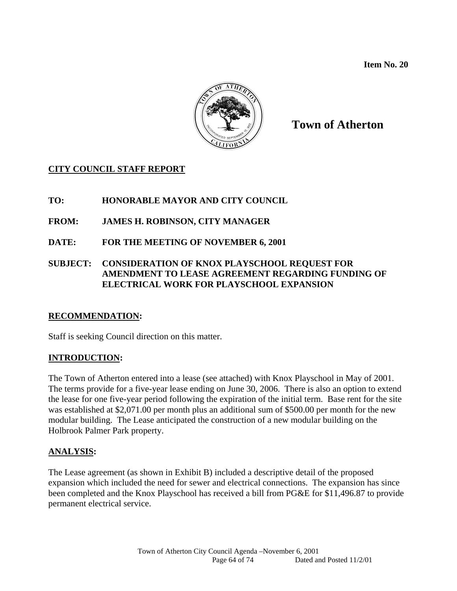**Item No. 20** 



# **Town of Atherton**

# **CITY COUNCIL STAFF REPORT**

**TO: HONORABLE MAYOR AND CITY COUNCIL** 

- **FROM: JAMES H. ROBINSON, CITY MANAGER**
- **DATE: FOR THE MEETING OF NOVEMBER 6, 2001**

## **SUBJECT: CONSIDERATION OF KNOX PLAYSCHOOL REQUEST FOR AMENDMENT TO LEASE AGREEMENT REGARDING FUNDING OF ELECTRICAL WORK FOR PLAYSCHOOL EXPANSION**

## **RECOMMENDATION:**

Staff is seeking Council direction on this matter.

# **INTRODUCTION:**

The Town of Atherton entered into a lease (see attached) with Knox Playschool in May of 2001. The terms provide for a five-year lease ending on June 30, 2006. There is also an option to extend the lease for one five-year period following the expiration of the initial term. Base rent for the site was established at \$2,071.00 per month plus an additional sum of \$500.00 per month for the new modular building. The Lease anticipated the construction of a new modular building on the Holbrook Palmer Park property.

## **ANALYSIS:**

The Lease agreement (as shown in Exhibit B) included a descriptive detail of the proposed expansion which included the need for sewer and electrical connections. The expansion has since been completed and the Knox Playschool has received a bill from PG&E for \$11,496.87 to provide permanent electrical service.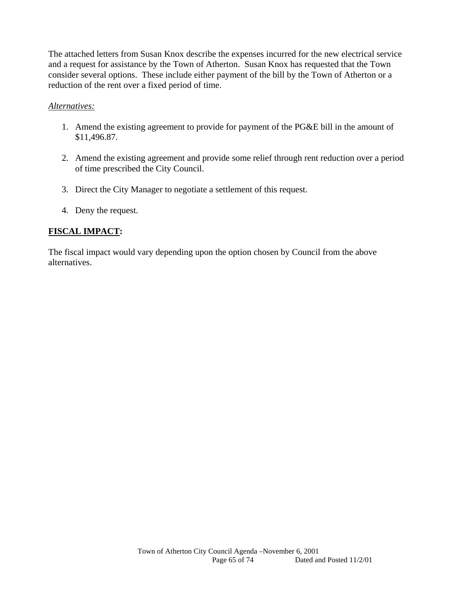The attached letters from Susan Knox describe the expenses incurred for the new electrical service and a request for assistance by the Town of Atherton. Susan Knox has requested that the Town consider several options. These include either payment of the bill by the Town of Atherton or a reduction of the rent over a fixed period of time.

#### *Alternatives:*

- 1. Amend the existing agreement to provide for payment of the PG&E bill in the amount of \$11,496.87.
- 2. Amend the existing agreement and provide some relief through rent reduction over a period of time prescribed the City Council.
- 3. Direct the City Manager to negotiate a settlement of this request.
- 4. Deny the request.

# **FISCAL IMPACT:**

The fiscal impact would vary depending upon the option chosen by Council from the above alternatives.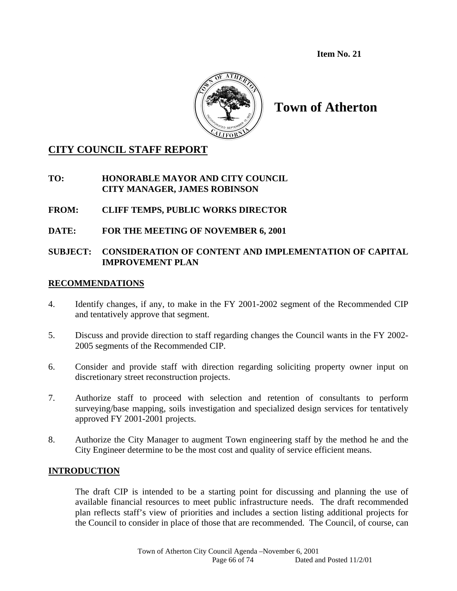**Item No. 21** 



**Town of Atherton** 

# **CITY COUNCIL STAFF REPORT**

## **TO: HONORABLE MAYOR AND CITY COUNCIL CITY MANAGER, JAMES ROBINSON**

# **FROM: CLIFF TEMPS, PUBLIC WORKS DIRECTOR**

# **DATE: FOR THE MEETING OF NOVEMBER 6, 2001**

# **SUBJECT: CONSIDERATION OF CONTENT AND IMPLEMENTATION OF CAPITAL IMPROVEMENT PLAN**

#### **RECOMMENDATIONS**

- 4. Identify changes, if any, to make in the FY 2001-2002 segment of the Recommended CIP and tentatively approve that segment.
- 5. Discuss and provide direction to staff regarding changes the Council wants in the FY 2002- 2005 segments of the Recommended CIP.
- 6. Consider and provide staff with direction regarding soliciting property owner input on discretionary street reconstruction projects.
- 7. Authorize staff to proceed with selection and retention of consultants to perform surveying/base mapping, soils investigation and specialized design services for tentatively approved FY 2001-2001 projects.
- 8. Authorize the City Manager to augment Town engineering staff by the method he and the City Engineer determine to be the most cost and quality of service efficient means.

## **INTRODUCTION**

The draft CIP is intended to be a starting point for discussing and planning the use of available financial resources to meet public infrastructure needs. The draft recommended plan reflects staff's view of priorities and includes a section listing additional projects for the Council to consider in place of those that are recommended. The Council, of course, can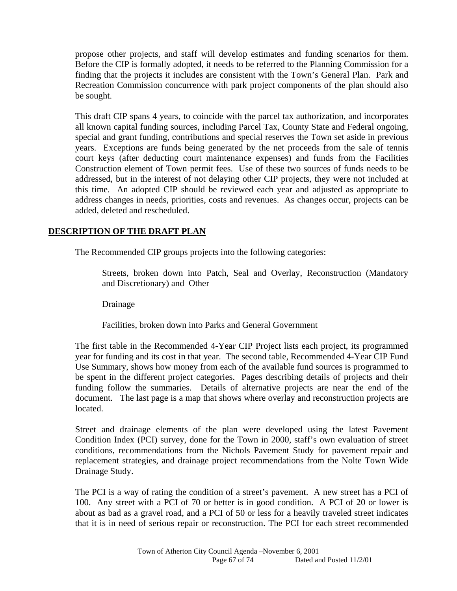propose other projects, and staff will develop estimates and funding scenarios for them. Before the CIP is formally adopted, it needs to be referred to the Planning Commission for a finding that the projects it includes are consistent with the Town's General Plan. Park and Recreation Commission concurrence with park project components of the plan should also be sought.

This draft CIP spans 4 years, to coincide with the parcel tax authorization, and incorporates all known capital funding sources, including Parcel Tax, County State and Federal ongoing, special and grant funding, contributions and special reserves the Town set aside in previous years. Exceptions are funds being generated by the net proceeds from the sale of tennis court keys (after deducting court maintenance expenses) and funds from the Facilities Construction element of Town permit fees. Use of these two sources of funds needs to be addressed, but in the interest of not delaying other CIP projects, they were not included at this time. An adopted CIP should be reviewed each year and adjusted as appropriate to address changes in needs, priorities, costs and revenues. As changes occur, projects can be added, deleted and rescheduled.

# **DESCRIPTION OF THE DRAFT PLAN**

The Recommended CIP groups projects into the following categories:

 Streets, broken down into Patch, Seal and Overlay, Reconstruction (Mandatory and Discretionary) and Other

Drainage

Facilities, broken down into Parks and General Government

The first table in the Recommended 4-Year CIP Project lists each project, its programmed year for funding and its cost in that year. The second table, Recommended 4-Year CIP Fund Use Summary, shows how money from each of the available fund sources is programmed to be spent in the different project categories. Pages describing details of projects and their funding follow the summaries. Details of alternative projects are near the end of the document. The last page is a map that shows where overlay and reconstruction projects are located.

Street and drainage elements of the plan were developed using the latest Pavement Condition Index (PCI) survey, done for the Town in 2000, staff's own evaluation of street conditions, recommendations from the Nichols Pavement Study for pavement repair and replacement strategies, and drainage project recommendations from the Nolte Town Wide Drainage Study.

The PCI is a way of rating the condition of a street's pavement. A new street has a PCI of 100. Any street with a PCI of 70 or better is in good condition. A PCI of 20 or lower is about as bad as a gravel road, and a PCI of 50 or less for a heavily traveled street indicates that it is in need of serious repair or reconstruction. The PCI for each street recommended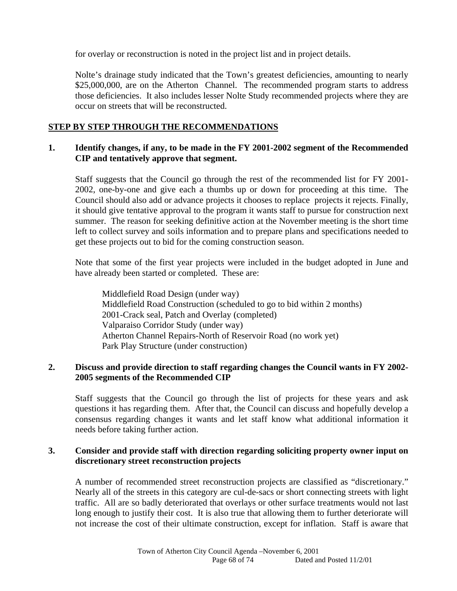for overlay or reconstruction is noted in the project list and in project details.

Nolte's drainage study indicated that the Town's greatest deficiencies, amounting to nearly \$25,000,000, are on the Atherton Channel. The recommended program starts to address those deficiencies. It also includes lesser Nolte Study recommended projects where they are occur on streets that will be reconstructed.

## **STEP BY STEP THROUGH THE RECOMMENDATIONS**

#### **1. Identify changes, if any, to be made in the FY 2001-2002 segment of the Recommended CIP and tentatively approve that segment.**

Staff suggests that the Council go through the rest of the recommended list for FY 2001- 2002, one-by-one and give each a thumbs up or down for proceeding at this time. The Council should also add or advance projects it chooses to replace projects it rejects. Finally, it should give tentative approval to the program it wants staff to pursue for construction next summer. The reason for seeking definitive action at the November meeting is the short time left to collect survey and soils information and to prepare plans and specifications needed to get these projects out to bid for the coming construction season.

Note that some of the first year projects were included in the budget adopted in June and have already been started or completed. These are:

 Middlefield Road Design (under way) Middlefield Road Construction (scheduled to go to bid within 2 months) 2001-Crack seal, Patch and Overlay (completed) Valparaiso Corridor Study (under way) Atherton Channel Repairs-North of Reservoir Road (no work yet) Park Play Structure (under construction)

## **2. Discuss and provide direction to staff regarding changes the Council wants in FY 2002- 2005 segments of the Recommended CIP**

Staff suggests that the Council go through the list of projects for these years and ask questions it has regarding them. After that, the Council can discuss and hopefully develop a consensus regarding changes it wants and let staff know what additional information it needs before taking further action.

## **3. Consider and provide staff with direction regarding soliciting property owner input on discretionary street reconstruction projects**

A number of recommended street reconstruction projects are classified as "discretionary." Nearly all of the streets in this category are cul-de-sacs or short connecting streets with light traffic. All are so badly deteriorated that overlays or other surface treatments would not last long enough to justify their cost. It is also true that allowing them to further deteriorate will not increase the cost of their ultimate construction, except for inflation. Staff is aware that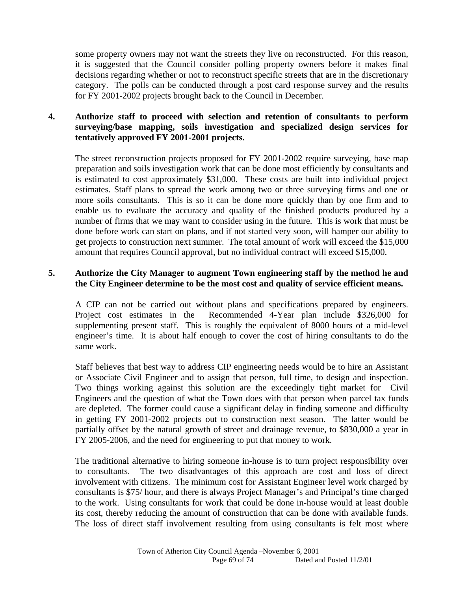some property owners may not want the streets they live on reconstructed. For this reason, it is suggested that the Council consider polling property owners before it makes final decisions regarding whether or not to reconstruct specific streets that are in the discretionary category. The polls can be conducted through a post card response survey and the results for FY 2001-2002 projects brought back to the Council in December.

## **4. Authorize staff to proceed with selection and retention of consultants to perform surveying/base mapping, soils investigation and specialized design services for tentatively approved FY 2001-2001 projects.**

The street reconstruction projects proposed for FY 2001-2002 require surveying, base map preparation and soils investigation work that can be done most efficiently by consultants and is estimated to cost approximately \$31,000. These costs are built into individual project estimates. Staff plans to spread the work among two or three surveying firms and one or more soils consultants. This is so it can be done more quickly than by one firm and to enable us to evaluate the accuracy and quality of the finished products produced by a number of firms that we may want to consider using in the future. This is work that must be done before work can start on plans, and if not started very soon, will hamper our ability to get projects to construction next summer. The total amount of work will exceed the \$15,000 amount that requires Council approval, but no individual contract will exceed \$15,000.

## **5. Authorize the City Manager to augment Town engineering staff by the method he and the City Engineer determine to be the most cost and quality of service efficient means.**

A CIP can not be carried out without plans and specifications prepared by engineers. Project cost estimates in the Recommended 4-Year plan include \$326,000 for supplementing present staff. This is roughly the equivalent of 8000 hours of a mid-level engineer's time. It is about half enough to cover the cost of hiring consultants to do the same work.

Staff believes that best way to address CIP engineering needs would be to hire an Assistant or Associate Civil Engineer and to assign that person, full time, to design and inspection. Two things working against this solution are the exceedingly tight market for Civil Engineers and the question of what the Town does with that person when parcel tax funds are depleted. The former could cause a significant delay in finding someone and difficulty in getting FY 2001-2002 projects out to construction next season. The latter would be partially offset by the natural growth of street and drainage revenue, to \$830,000 a year in FY 2005-2006, and the need for engineering to put that money to work.

The traditional alternative to hiring someone in-house is to turn project responsibility over to consultants. The two disadvantages of this approach are cost and loss of direct involvement with citizens. The minimum cost for Assistant Engineer level work charged by consultants is \$75/ hour, and there is always Project Manager's and Principal's time charged to the work. Using consultants for work that could be done in-house would at least double its cost, thereby reducing the amount of construction that can be done with available funds. The loss of direct staff involvement resulting from using consultants is felt most where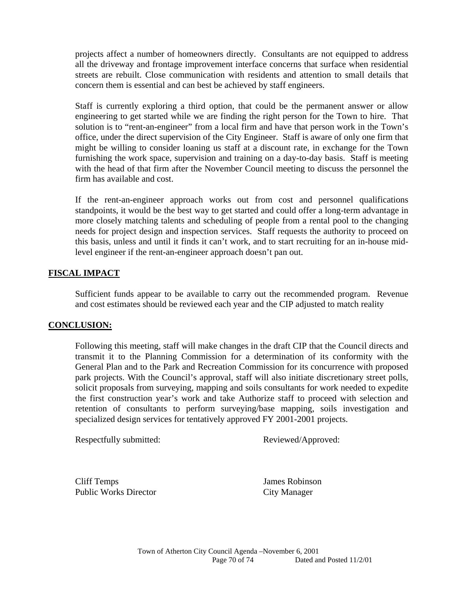projects affect a number of homeowners directly. Consultants are not equipped to address all the driveway and frontage improvement interface concerns that surface when residential streets are rebuilt. Close communication with residents and attention to small details that concern them is essential and can best be achieved by staff engineers.

Staff is currently exploring a third option, that could be the permanent answer or allow engineering to get started while we are finding the right person for the Town to hire. That solution is to "rent-an-engineer" from a local firm and have that person work in the Town's office, under the direct supervision of the City Engineer. Staff is aware of only one firm that might be willing to consider loaning us staff at a discount rate, in exchange for the Town furnishing the work space, supervision and training on a day-to-day basis. Staff is meeting with the head of that firm after the November Council meeting to discuss the personnel the firm has available and cost.

If the rent-an-engineer approach works out from cost and personnel qualifications standpoints, it would be the best way to get started and could offer a long-term advantage in more closely matching talents and scheduling of people from a rental pool to the changing needs for project design and inspection services. Staff requests the authority to proceed on this basis, unless and until it finds it can't work, and to start recruiting for an in-house midlevel engineer if the rent-an-engineer approach doesn't pan out.

## **FISCAL IMPACT**

Sufficient funds appear to be available to carry out the recommended program. Revenue and cost estimates should be reviewed each year and the CIP adjusted to match reality

#### **CONCLUSION:**

Following this meeting, staff will make changes in the draft CIP that the Council directs and transmit it to the Planning Commission for a determination of its conformity with the General Plan and to the Park and Recreation Commission for its concurrence with proposed park projects. With the Council's approval, staff will also initiate discretionary street polls, solicit proposals from surveying, mapping and soils consultants for work needed to expedite the first construction year's work and take Authorize staff to proceed with selection and retention of consultants to perform surveying/base mapping, soils investigation and specialized design services for tentatively approved FY 2001-2001 projects.

Respectfully submitted: Reviewed/Approved:

 Cliff Temps James Robinson Public Works Director City Manager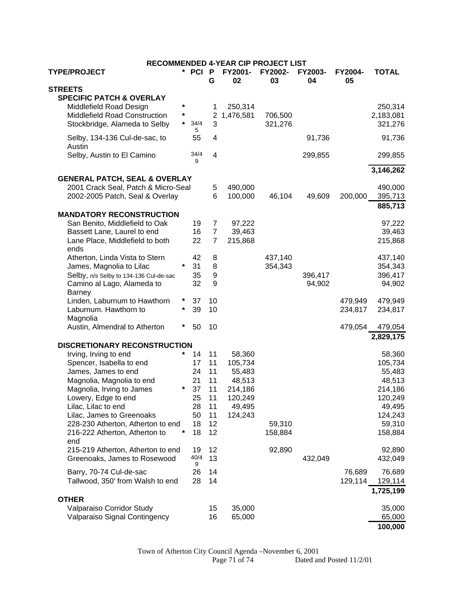| <b>RECOMMENDED 4-YEAR CIP PROJECT LIST</b> |         |         |                |               |               |               |               |              |
|--------------------------------------------|---------|---------|----------------|---------------|---------------|---------------|---------------|--------------|
| <b>TYPE/PROJECT</b>                        |         | * PCI   | P<br>G         | FY2001-<br>02 | FY2002-<br>03 | FY2003-<br>04 | FY2004-<br>05 | <b>TOTAL</b> |
| <b>STREETS</b>                             |         |         |                |               |               |               |               |              |
| <b>SPECIFIC PATCH &amp; OVERLAY</b>        |         |         |                |               |               |               |               |              |
| Middlefield Road Design                    | *       |         | 1              | 250,314       |               |               |               | 250,314      |
| Middlefield Road Construction              | $\star$ |         |                | 2 1,476,581   | 706,500       |               |               | 2,183,081    |
|                                            | $\star$ | 34/4    | 3              |               |               |               |               |              |
| Stockbridge, Alameda to Selby              |         | 5       |                |               | 321,276       |               |               | 321,276      |
| Selby, 134-136 Cul-de-sac, to              |         | 55      | 4              |               |               | 91,736        |               | 91,736       |
| Austin                                     |         |         |                |               |               |               |               |              |
| Selby, Austin to El Camino                 |         | 34/4    | $\overline{4}$ |               |               | 299,855       |               | 299,855      |
|                                            |         | 9       |                |               |               |               |               |              |
| 3,146,262                                  |         |         |                |               |               |               |               |              |
| <b>GENERAL PATCH, SEAL &amp; OVERLAY</b>   |         |         |                |               |               |               |               |              |
| 2001 Crack Seal, Patch & Micro-Seal        |         |         | 5              | 490,000       |               |               |               | 490,000      |
| 2002-2005 Patch, Seal & Overlay            |         |         | 6              | 100,000       | 46,104        | 49,609        | 200,000       | 395,713      |
|                                            |         |         |                |               |               |               |               | 885,713      |
| <b>MANDATORY RECONSTRUCTION</b>            |         |         |                |               |               |               |               |              |
| San Benito, Middlefield to Oak             |         | 19      | 7              | 97,222        |               |               |               | 97,222       |
| Bassett Lane, Laurel to end                |         | 16      | $\overline{7}$ | 39,463        |               |               |               | 39,463       |
| Lane Place, Middlefield to both            |         | 22      | $\overline{7}$ | 215,868       |               |               |               | 215,868      |
| ends                                       |         |         |                |               |               |               |               |              |
| Atherton, Linda Vista to Stern             |         | 42      | 8              |               | 437,140       |               |               | 437,140      |
| James, Magnolia to Lilac                   | $\star$ | 31      | 8              |               | 354,343       |               |               | 354,343      |
| Selby, n/s Selby to 134-136 Cul-de-sac     |         | 35      | 9              |               |               | 396,417       |               | 396,417      |
| Camino al Lago, Alameda to                 |         | 32      | 9              |               |               | 94,902        |               | 94,902       |
| <b>Barney</b>                              |         |         |                |               |               |               |               |              |
| Linden, Laburnum to Hawthorn               | *       | 37      | 10             |               |               |               | 479,949       | 479,949      |
| Laburnum. Hawthorn to                      | $\star$ | 39      | 10             |               |               |               | 234,817       | 234,817      |
| Magnolia                                   |         |         |                |               |               |               |               |              |
| Austin, Almendral to Atherton              | *       | 50      | 10             |               |               |               | 479,054       | 479,054      |
|                                            |         |         |                |               |               |               |               | 2,829,175    |
| <b>DISCRETIONARY RECONSTRUCTION</b>        |         |         |                |               |               |               |               |              |
| Irving, Irving to end                      | $\star$ | 14      | 11             | 58,360        |               |               |               | 58,360       |
| Spencer, Isabella to end                   |         | 17      | 11             | 105,734       |               |               |               | 105,734      |
| James, James to end                        |         | 24      | 11             | 55,483        |               |               |               | 55,483       |
| Magnolia, Magnolia to end                  |         | 21      | 11             | 48,513        |               |               |               | 48,513       |
|                                            | $\star$ | 37      | 11             |               |               |               |               |              |
| Magnolia, Irving to James                  |         |         |                | 214,186       |               |               |               | 214,186      |
| Lowery, Edge to end                        |         | 25      | 11             | 120,249       |               |               |               | 120,249      |
| Lilac, Lilac to end                        |         | 28      | 11             | 49,495        |               |               |               | 49,495       |
| Lilac, James to Greenoaks                  |         | 50      | 11             | 124,243       |               |               |               | 124,243      |
| 228-230 Atherton, Atherton to end          |         | 18      | 12             |               | 59,310        |               |               | 59,310       |
| 216-222 Atherton, Atherton to              |         | 18      | 12             |               | 158,884       |               |               | 158,884      |
| end                                        |         |         |                |               |               |               |               |              |
| 215-219 Atherton, Atherton to end          |         | 19      | 12             |               | 92,890        |               |               | 92,890       |
| Greenoaks, James to Rosewood               |         | 40/4    | 13             |               |               | 432,049       |               | 432,049      |
| Barry, 70-74 Cul-de-sac                    |         | 9<br>26 | 14             |               |               |               | 76,689        | 76,689       |
|                                            |         | 28      | 14             |               |               |               |               |              |
| Tallwood, 350' from Walsh to end           |         |         |                |               |               |               | 129,114       | 129,114      |
|                                            |         |         |                |               |               |               |               | 1,725,199    |
| <b>OTHER</b>                               |         |         |                |               |               |               |               |              |
| Valparaiso Corridor Study                  |         |         | 15             | 35,000        |               |               |               | 35,000       |
| Valparaiso Signal Contingency              |         |         | 16             | 65,000        |               |               |               | 65,000       |
|                                            |         |         |                |               |               |               |               | 100,000      |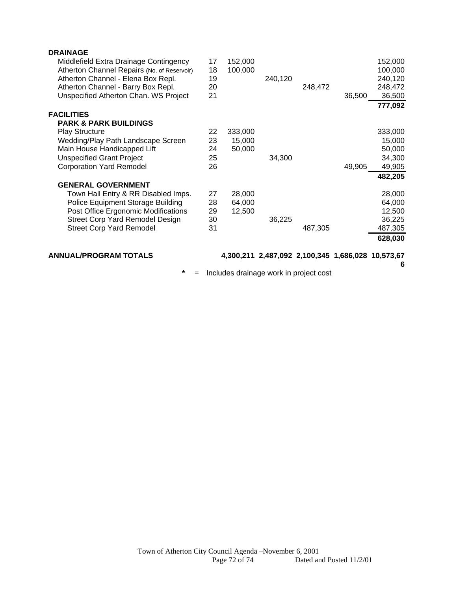| <b>DRAINAGE</b>                             |    |         |                                                   |         |        |         |
|---------------------------------------------|----|---------|---------------------------------------------------|---------|--------|---------|
| Middlefield Extra Drainage Contingency      | 17 | 152,000 |                                                   |         |        | 152,000 |
| Atherton Channel Repairs (No. of Reservoir) | 18 | 100,000 |                                                   |         |        | 100,000 |
| Atherton Channel - Elena Box Repl.          | 19 |         | 240,120                                           |         |        | 240,120 |
| Atherton Channel - Barry Box Repl.          | 20 |         |                                                   | 248,472 |        | 248,472 |
| Unspecified Atherton Chan. WS Project       | 21 |         |                                                   |         | 36,500 | 36,500  |
|                                             |    |         |                                                   |         |        | 777,092 |
| <b>FACILITIES</b>                           |    |         |                                                   |         |        |         |
| <b>PARK &amp; PARK BUILDINGS</b>            |    |         |                                                   |         |        |         |
| <b>Play Structure</b>                       | 22 | 333,000 |                                                   |         |        | 333,000 |
| Wedding/Play Path Landscape Screen          | 23 | 15,000  |                                                   |         |        | 15,000  |
| Main House Handicapped Lift                 | 24 | 50,000  |                                                   |         |        | 50,000  |
| <b>Unspecified Grant Project</b>            | 25 |         | 34,300                                            |         |        | 34,300  |
| <b>Corporation Yard Remodel</b>             | 26 |         |                                                   |         | 49,905 | 49,905  |
|                                             |    |         |                                                   |         |        | 482,205 |
| <b>GENERAL GOVERNMENT</b>                   |    |         |                                                   |         |        |         |
| Town Hall Entry & RR Disabled Imps.         | 27 | 28,000  |                                                   |         |        | 28,000  |
| Police Equipment Storage Building           | 28 | 64,000  |                                                   |         |        | 64,000  |
| Post Office Ergonomic Modifications         | 29 | 12,500  |                                                   |         |        | 12,500  |
| <b>Street Corp Yard Remodel Design</b>      | 30 |         | 36,225                                            |         |        | 36,225  |
| <b>Street Corp Yard Remodel</b>             | 31 |         |                                                   | 487,305 |        | 487,305 |
|                                             |    |         |                                                   |         |        | 628,030 |
| <b>ANNUAL/PROGRAM TOTALS</b>                |    |         | 4,300,211 2,487,092 2,100,345 1,686,028 10,573,67 |         |        |         |

**6**

**\*** = Includes drainage work in project cost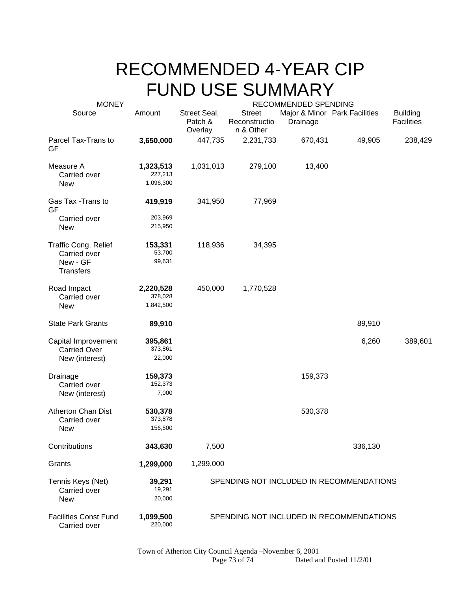## RECOMMENDED 4-YEAR CIP FUND USE SUMMARY

| <b>MONEY</b>                                                                | RECOMMENDED SPENDING              |                                    |                                             |          |                               |                                      |  |
|-----------------------------------------------------------------------------|-----------------------------------|------------------------------------|---------------------------------------------|----------|-------------------------------|--------------------------------------|--|
| Source                                                                      | Amount                            | Street Seal,<br>Patch &<br>Overlay | <b>Street</b><br>Reconstructio<br>n & Other | Drainage | Major & Minor Park Facilities | <b>Building</b><br><b>Facilities</b> |  |
| Parcel Tax-Trans to<br>GF                                                   | 3,650,000                         | 447,735                            | 2,231,733                                   | 670,431  | 49,905                        | 238,429                              |  |
| Measure A<br>Carried over<br><b>New</b>                                     | 1,323,513<br>227,213<br>1,096,300 | 1,031,013                          | 279,100                                     | 13,400   |                               |                                      |  |
| Gas Tax - Trans to<br>GF                                                    | 419,919                           | 341,950                            | 77,969                                      |          |                               |                                      |  |
| Carried over<br><b>New</b>                                                  | 203,969<br>215,950                |                                    |                                             |          |                               |                                      |  |
| <b>Traffic Cong. Relief</b><br>Carried over<br>New - GF<br><b>Transfers</b> | 153,331<br>53,700<br>99,631       | 118,936                            | 34,395                                      |          |                               |                                      |  |
| Road Impact<br>Carried over<br><b>New</b>                                   | 2,220,528<br>378,028<br>1,842,500 | 450,000                            | 1,770,528                                   |          |                               |                                      |  |
| <b>State Park Grants</b>                                                    | 89,910                            |                                    |                                             |          | 89,910                        |                                      |  |
| Capital Improvement<br><b>Carried Over</b><br>New (interest)                | 395,861<br>373,861<br>22,000      |                                    |                                             |          | 6,260                         | 389,601                              |  |
| Drainage<br>Carried over<br>New (interest)                                  | 159,373<br>152,373<br>7,000       |                                    |                                             | 159,373  |                               |                                      |  |
| <b>Atherton Chan Dist</b><br>Carried over<br><b>New</b>                     | 530,378<br>373,878<br>156,500     |                                    |                                             | 530,378  |                               |                                      |  |
| Contributions                                                               | 343,630                           | 7,500                              |                                             |          | 336,130                       |                                      |  |
| Grants                                                                      | 1,299,000                         | 1,299,000                          |                                             |          |                               |                                      |  |
| Tennis Keys (Net)<br>Carried over<br><b>New</b>                             | 39,291<br>19,291<br>20,000        |                                    | SPENDING NOT INCLUDED IN RECOMMENDATIONS    |          |                               |                                      |  |
| <b>Facilities Const Fund</b><br>Carried over                                | 1,099,500<br>220,000              |                                    | SPENDING NOT INCLUDED IN RECOMMENDATIONS    |          |                               |                                      |  |